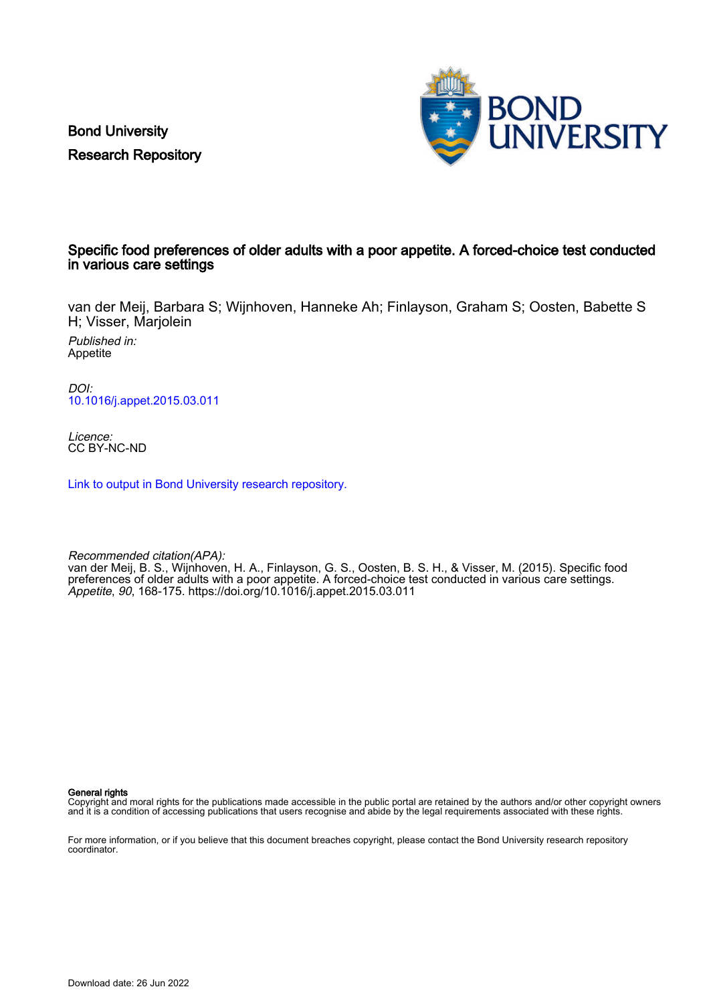Bond University Research Repository



# Specific food preferences of older adults with a poor appetite. A forced-choice test conducted in various care settings

van der Meij, Barbara S; Wijnhoven, Hanneke Ah; Finlayson, Graham S; Oosten, Babette S H; Visser, Marjolein

Published in: Appetite

DOI: [10.1016/j.appet.2015.03.011](https://doi.org/10.1016/j.appet.2015.03.011)

Licence: CC BY-NC-ND

[Link to output in Bond University research repository.](https://research.bond.edu.au/en/publications/db8909df-f5be-4303-8a66-74e7f4c302da)

Recommended citation(APA): van der Meij, B. S., Wijnhoven, H. A., Finlayson, G. S., Oosten, B. S. H., & Visser, M. (2015). Specific food preferences of older adults with a poor appetite. A forced-choice test conducted in various care settings. Appetite, 90, 168-175.<https://doi.org/10.1016/j.appet.2015.03.011>

General rights

Copyright and moral rights for the publications made accessible in the public portal are retained by the authors and/or other copyright owners and it is a condition of accessing publications that users recognise and abide by the legal requirements associated with these rights.

For more information, or if you believe that this document breaches copyright, please contact the Bond University research repository coordinator.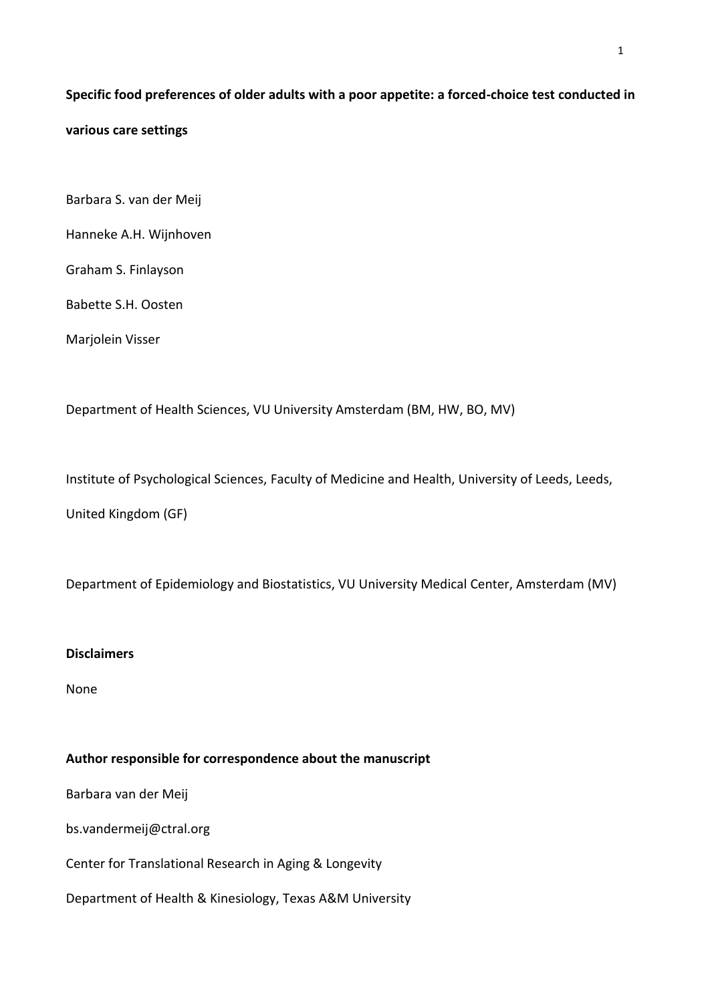# **Specific food preferences of older adults with a poor appetite: a forced-choice test conducted in various care settings**

- Barbara S. van der Meij
- Hanneke A.H. Wijnhoven

Graham S. Finlayson

Babette S.H. Oosten

Marjolein Visser

Department of Health Sciences, VU University Amsterdam (BM, HW, BO, MV)

Institute of Psychological Sciences, Faculty of Medicine and Health, University of Leeds, Leeds,

United Kingdom (GF)

Department of Epidemiology and Biostatistics, VU University Medical Center, Amsterdam (MV)

# **Disclaimers**

None

# **Author responsible for correspondence about the manuscript**

Barbara van der Meij

bs.vandermeij@ctral.org

Center for Translational Research in Aging & Longevity

Department of Health & Kinesiology, Texas A&M University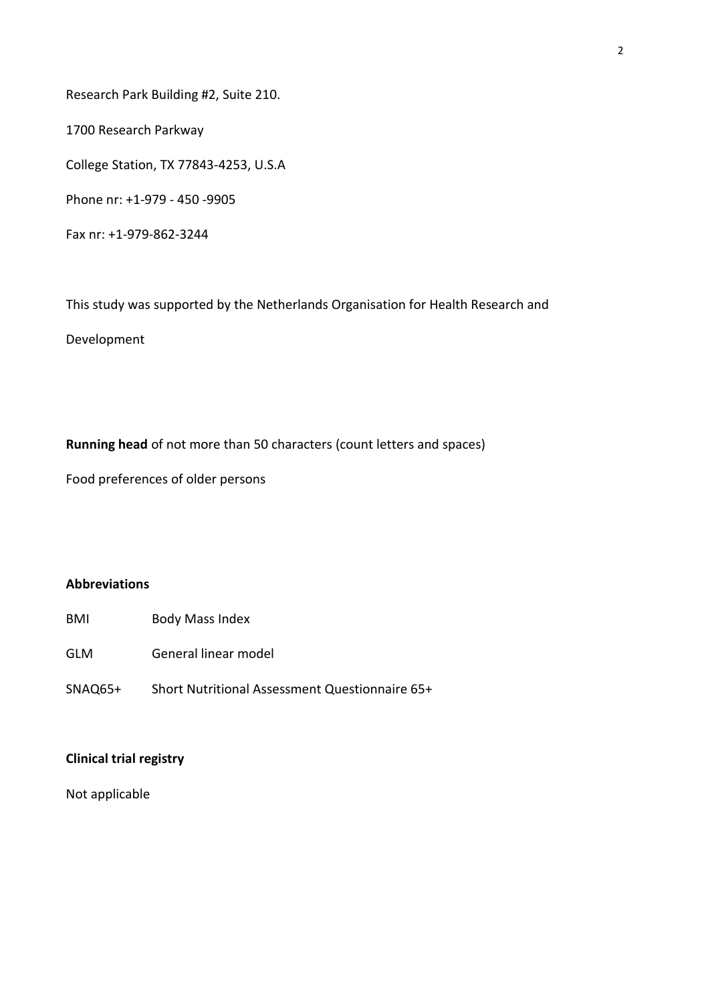Research Park Building #2, Suite 210.

1700 Research Parkway

College Station, TX 77843-4253, U.S.A

Phone nr: +1-979 - 450 -9905

Fax nr: +1-979-862-3244

This study was supported by the Netherlands Organisation for Health Research and

Development

**Running head** of not more than 50 characters (count letters and spaces)

Food preferences of older persons

# **Abbreviations**

- BMI Body Mass Index
- GLM General linear model
- SNAQ65+ Short Nutritional Assessment Questionnaire 65+

## **Clinical trial registry**

Not applicable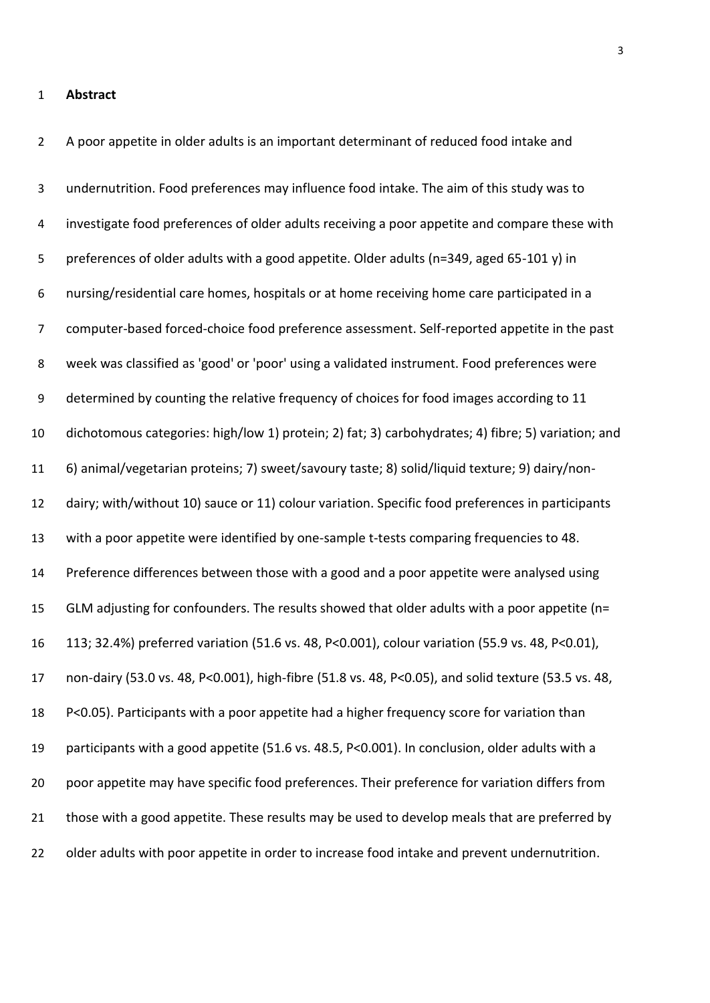#### **Abstract**

A poor appetite in older adults is an important determinant of reduced food intake and

undernutrition. Food preferences may influence food intake. The aim of this study was to investigate food preferences of older adults receiving a poor appetite and compare these with preferences of older adults with a good appetite. Older adults (n=349, aged 65-101 y) in nursing/residential care homes, hospitals or at home receiving home care participated in a computer-based forced-choice food preference assessment. Self-reported appetite in the past week was classified as 'good' or 'poor' using a validated instrument. Food preferences were determined by counting the relative frequency of choices for food images according to 11 dichotomous categories: high/low 1) protein; 2) fat; 3) carbohydrates; 4) fibre; 5) variation; and 6) animal/vegetarian proteins; 7) sweet/savoury taste; 8) solid/liquid texture; 9) dairy/non- dairy; with/without 10) sauce or 11) colour variation. Specific food preferences in participants with a poor appetite were identified by one-sample t-tests comparing frequencies to 48. Preference differences between those with a good and a poor appetite were analysed using GLM adjusting for confounders. The results showed that older adults with a poor appetite (n= 113; 32.4%) preferred variation (51.6 vs. 48, P<0.001), colour variation (55.9 vs. 48, P<0.01), non-dairy (53.0 vs. 48, P<0.001), high-fibre (51.8 vs. 48, P<0.05), and solid texture (53.5 vs. 48, P<0.05). Participants with a poor appetite had a higher frequency score for variation than participants with a good appetite (51.6 vs. 48.5, P<0.001). In conclusion, older adults with a poor appetite may have specific food preferences. Their preference for variation differs from 21 those with a good appetite. These results may be used to develop meals that are preferred by older adults with poor appetite in order to increase food intake and prevent undernutrition.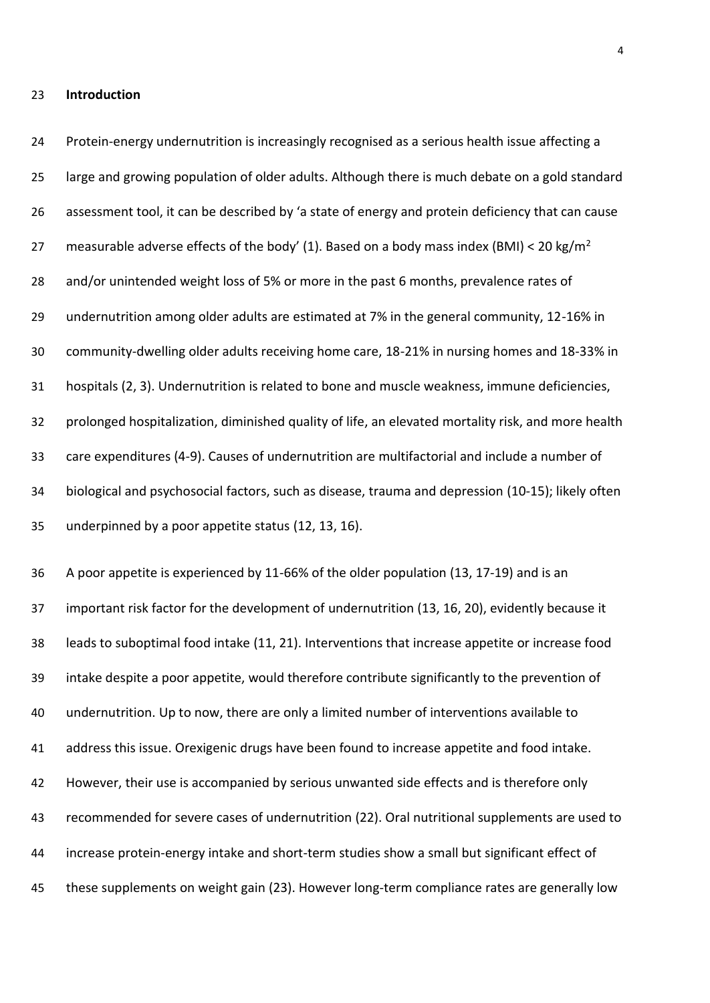#### **Introduction**

 Protein-energy undernutrition is increasingly recognised as a serious health issue affecting a large and growing population of older adults. Although there is much debate on a gold standard 26 assessment tool, it can be described by 'a state of energy and protein deficiency that can cause 27 measurable adverse effects of the body' (1). Based on a body mass index (BMI) < 20 kg/m<sup>2</sup> 28 and/or unintended weight loss of 5% or more in the past 6 months, prevalence rates of undernutrition among older adults are estimated at 7% in the general community, 12-16% in community-dwelling older adults receiving home care, 18-21% in nursing homes and 18-33% in hospitals (2, 3). Undernutrition is related to bone and muscle weakness, immune deficiencies, prolonged hospitalization, diminished quality of life, an elevated mortality risk, and more health care expenditures (4-9). Causes of undernutrition are multifactorial and include a number of biological and psychosocial factors, such as disease, trauma and depression (10-15); likely often underpinned by a poor appetite status (12, 13, 16).

 A poor appetite is experienced by 11-66% of the older population (13, 17-19) and is an important risk factor for the development of undernutrition (13, 16, 20), evidently because it leads to suboptimal food intake (11, 21). Interventions that increase appetite or increase food intake despite a poor appetite, would therefore contribute significantly to the prevention of undernutrition. Up to now, there are only a limited number of interventions available to address this issue. Orexigenic drugs have been found to increase appetite and food intake. However, their use is accompanied by serious unwanted side effects and is therefore only recommended for severe cases of undernutrition (22). Oral nutritional supplements are used to increase protein-energy intake and short-term studies show a small but significant effect of these supplements on weight gain (23). However long-term compliance rates are generally low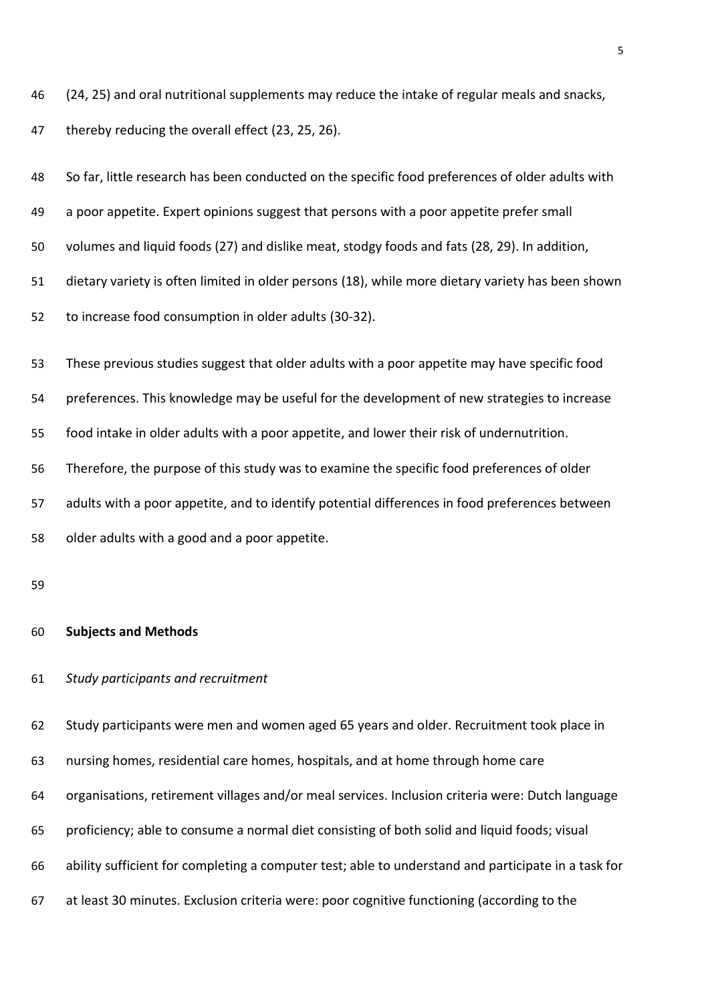(24, 25) and oral nutritional supplements may reduce the intake of regular meals and snacks,

thereby reducing the overall effect (23, 25, 26).

| 48 | So far, little research has been conducted on the specific food preferences of older adults with  |
|----|---------------------------------------------------------------------------------------------------|
| 49 | a poor appetite. Expert opinions suggest that persons with a poor appetite prefer small           |
| 50 | volumes and liquid foods (27) and dislike meat, stodgy foods and fats (28, 29). In addition,      |
| 51 | dietary variety is often limited in older persons (18), while more dietary variety has been shown |
| 52 | to increase food consumption in older adults (30-32).                                             |
| 53 | These previous studies suggest that older adults with a poor appetite may have specific food      |
| 54 | preferences. This knowledge may be useful for the development of new strategies to increase       |
| 55 | food intake in older adults with a poor appetite, and lower their risk of undernutrition.         |
| 56 | Therefore, the purpose of this study was to examine the specific food preferences of older        |
| 57 | adults with a poor appetite, and to identify potential differences in food preferences between    |
| 58 | older adults with a good and a poor appetite.                                                     |
| 59 |                                                                                                   |
| 60 | <b>Subjects and Methods</b>                                                                       |
| 61 | Study participants and recruitment                                                                |
| 62 | Study participants were men and women aged 65 years and older. Recruitment took place in          |
| 63 | nursing homes, residential care homes, hospitals, and at home through home care                   |
| 64 | organisations, retirement villages and/or meal services. Inclusion criteria were: Dutch language  |

- proficiency; able to consume a normal diet consisting of both solid and liquid foods; visual
- ability sufficient for completing a computer test; able to understand and participate in a task for
- at least 30 minutes. Exclusion criteria were: poor cognitive functioning (according to the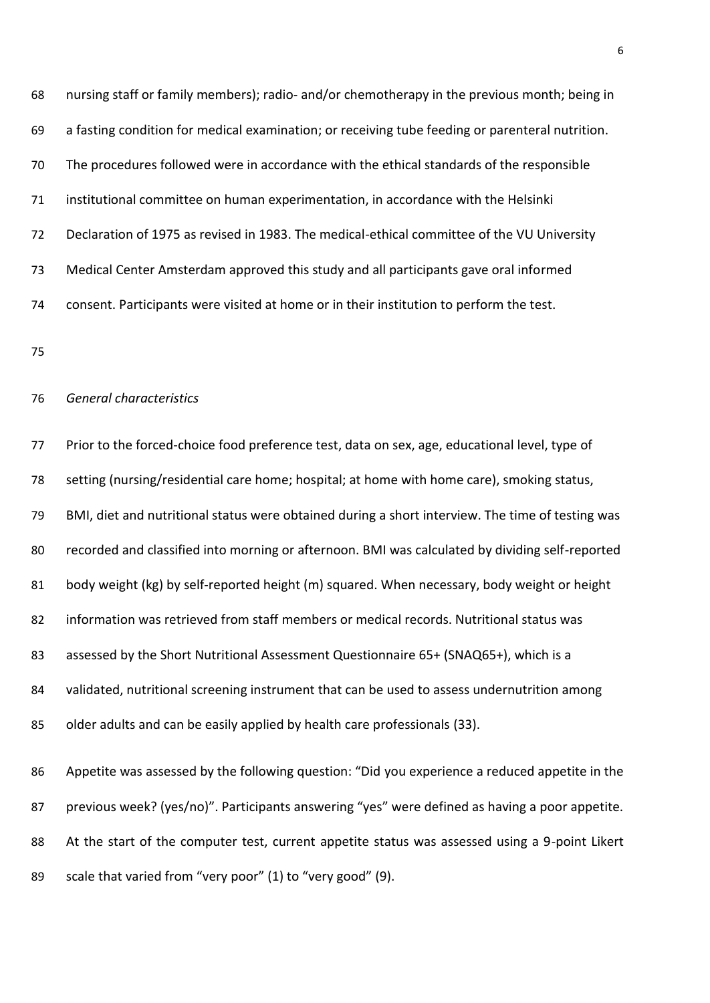nursing staff or family members); radio- and/or chemotherapy in the previous month; being in a fasting condition for medical examination; or receiving tube feeding or parenteral nutrition. The procedures followed were in accordance with the ethical standards of the responsible institutional committee on human experimentation, in accordance with the Helsinki Declaration of 1975 as revised in 1983. The medical-ethical committee of the VU University Medical Center Amsterdam approved this study and all participants gave oral informed consent. Participants were visited at home or in their institution to perform the test.

#### *General characteristics*

 Prior to the forced-choice food preference test, data on sex, age, educational level, type of setting (nursing/residential care home; hospital; at home with home care), smoking status, BMI, diet and nutritional status were obtained during a short interview. The time of testing was recorded and classified into morning or afternoon. BMI was calculated by dividing self-reported body weight (kg) by self-reported height (m) squared. When necessary, body weight or height information was retrieved from staff members or medical records. Nutritional status was assessed by the Short Nutritional Assessment Questionnaire 65+ (SNAQ65+), which is a 84 validated, nutritional screening instrument that can be used to assess undernutrition among older adults and can be easily applied by health care professionals (33). 86 Appetite was assessed by the following question: "Did you experience a reduced appetite in the 87 previous week? (yes/no)". Participants answering "yes" were defined as having a poor appetite. 88 At the start of the computer test, current appetite status was assessed using a 9-point Likert

89 scale that varied from "very poor" (1) to "very good" (9).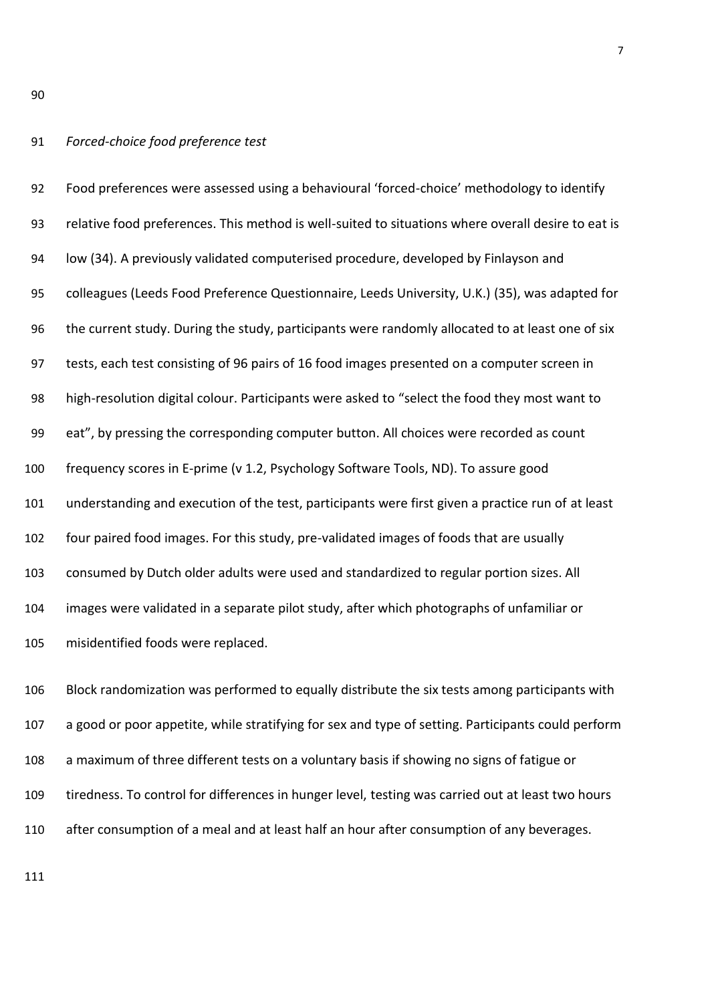#### *Forced-choice food preference test*

92 Food preferences were assessed using a behavioural 'forced-choice' methodology to identify relative food preferences. This method is well-suited to situations where overall desire to eat is low (34). A previously validated computerised procedure, developed by Finlayson and colleagues (Leeds Food Preference Questionnaire, Leeds University, U.K.) (35), was adapted for the current study. During the study, participants were randomly allocated to at least one of six tests, each test consisting of 96 pairs of 16 food images presented on a computer screen in 98 high-resolution digital colour. Participants were asked to "select the food they most want to 99 eat", by pressing the corresponding computer button. All choices were recorded as count frequency scores in E-prime (v 1.2, Psychology Software Tools, ND). To assure good understanding and execution of the test, participants were first given a practice run of at least four paired food images. For this study, pre-validated images of foods that are usually consumed by Dutch older adults were used and standardized to regular portion sizes. All images were validated in a separate pilot study, after which photographs of unfamiliar or misidentified foods were replaced.

 Block randomization was performed to equally distribute the six tests among participants with a good or poor appetite, while stratifying for sex and type of setting. Participants could perform a maximum of three different tests on a voluntary basis if showing no signs of fatigue or tiredness. To control for differences in hunger level, testing was carried out at least two hours after consumption of a meal and at least half an hour after consumption of any beverages.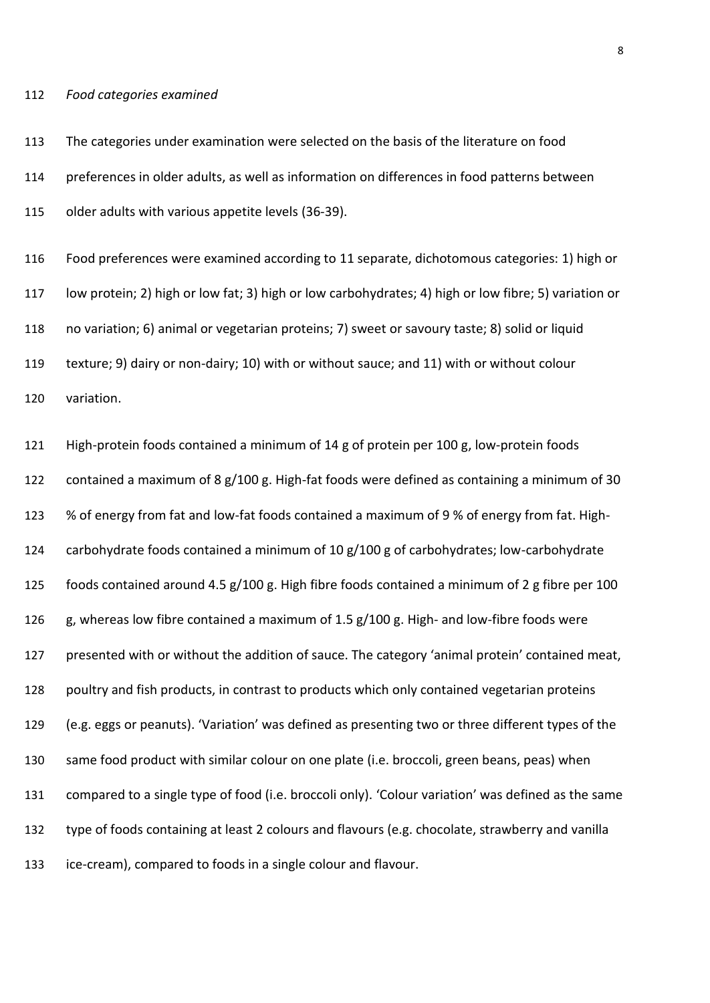#### *Food categories examined*

 The categories under examination were selected on the basis of the literature on food preferences in older adults, as well as information on differences in food patterns between older adults with various appetite levels (36-39).

 Food preferences were examined according to 11 separate, dichotomous categories: 1) high or low protein; 2) high or low fat; 3) high or low carbohydrates; 4) high or low fibre; 5) variation or no variation; 6) animal or vegetarian proteins; 7) sweet or savoury taste; 8) solid or liquid texture; 9) dairy or non-dairy; 10) with or without sauce; and 11) with or without colour variation.

 High-protein foods contained a minimum of 14 g of protein per 100 g, low-protein foods contained a maximum of 8 g/100 g. High-fat foods were defined as containing a minimum of 30 % of energy from fat and low-fat foods contained a maximum of 9 % of energy from fat. High- carbohydrate foods contained a minimum of 10 g/100 g of carbohydrates; low-carbohydrate foods contained around 4.5 g/100 g. High fibre foods contained a minimum of 2 g fibre per 100 g, whereas low fibre contained a maximum of 1.5 g/100 g. High- and low-fibre foods were 127 presented with or without the addition of sauce. The category 'animal protein' contained meat, poultry and fish products, in contrast to products which only contained vegetarian proteins 129 (e.g. eggs or peanuts). 'Variation' was defined as presenting two or three different types of the same food product with similar colour on one plate (i.e. broccoli, green beans, peas) when 131 compared to a single type of food (i.e. broccoli only). 'Colour variation' was defined as the same type of foods containing at least 2 colours and flavours (e.g. chocolate, strawberry and vanilla ice-cream), compared to foods in a single colour and flavour.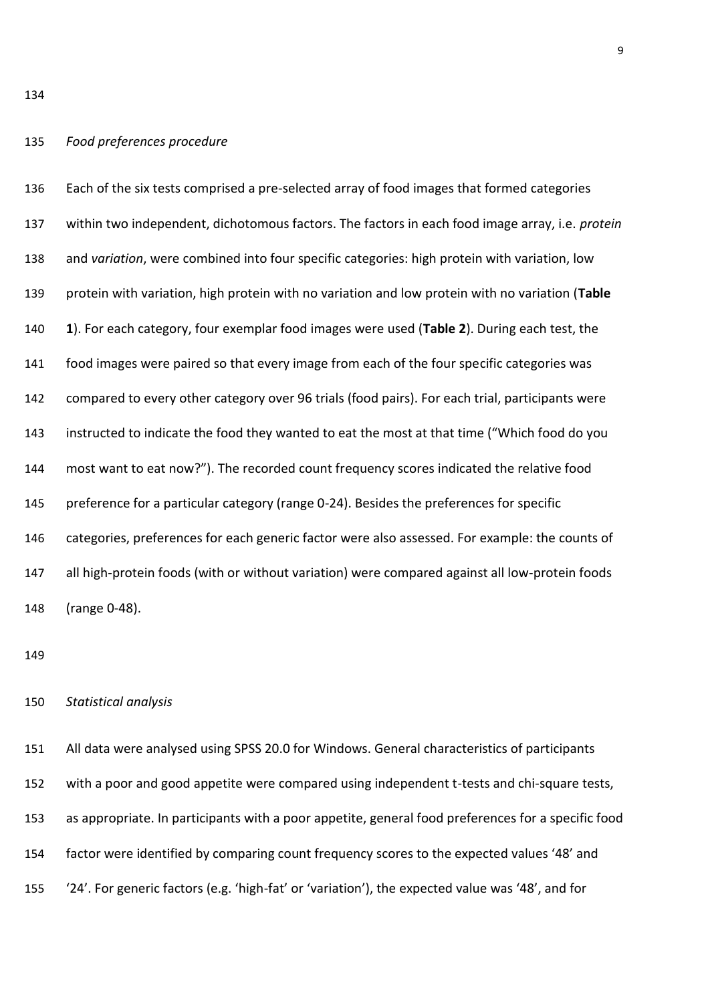### *Food preferences procedure*

 Each of the six tests comprised a pre-selected array of food images that formed categories within two independent, dichotomous factors. The factors in each food image array, i.e. *protein* and *variation*, were combined into four specific categories: high protein with variation, low protein with variation, high protein with no variation and low protein with no variation (**Table 1**). For each category, four exemplar food images were used (**Table 2**). During each test, the food images were paired so that every image from each of the four specific categories was compared to every other category over 96 trials (food pairs). For each trial, participants were 143 instructed to indicate the food they wanted to eat the most at that time ("Which food do you 144 most want to eat now?"). The recorded count frequency scores indicated the relative food preference for a particular category (range 0-24). Besides the preferences for specific categories, preferences for each generic factor were also assessed. For example: the counts of all high-protein foods (with or without variation) were compared against all low-protein foods (range 0-48).

#### *Statistical analysis*

 All data were analysed using SPSS 20.0 for Windows. General characteristics of participants with a poor and good appetite were compared using independent t-tests and chi-square tests, as appropriate. In participants with a poor appetite, general food preferences for a specific food 154 factor were identified by comparing count frequency scores to the expected values '48' and 155 (24'. For generic factors (e.g. 'high-fat' or 'variation'), the expected value was '48', and for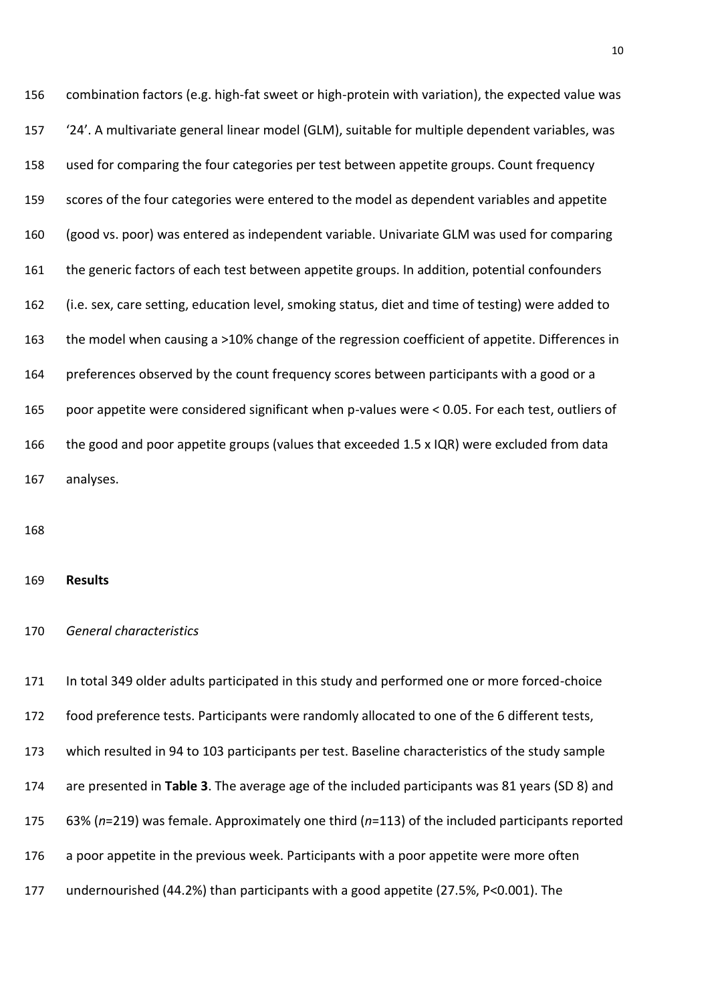combination factors (e.g. high-fat sweet or high-protein with variation), the expected value was 157 (24'. A multivariate general linear model (GLM), suitable for multiple dependent variables, was used for comparing the four categories per test between appetite groups. Count frequency scores of the four categories were entered to the model as dependent variables and appetite (good vs. poor) was entered as independent variable. Univariate GLM was used for comparing the generic factors of each test between appetite groups. In addition, potential confounders (i.e. sex, care setting, education level, smoking status, diet and time of testing) were added to the model when causing a >10% change of the regression coefficient of appetite. Differences in preferences observed by the count frequency scores between participants with a good or a poor appetite were considered significant when p-values were < 0.05. For each test, outliers of 166 the good and poor appetite groups (values that exceeded 1.5 x IQR) were excluded from data analyses.

#### **Results**

#### *General characteristics*

 In total 349 older adults participated in this study and performed one or more forced-choice food preference tests. Participants were randomly allocated to one of the 6 different tests, which resulted in 94 to 103 participants per test. Baseline characteristics of the study sample are presented in **Table 3**. The average age of the included participants was 81 years (SD 8) and 63% (*n*=219) was female. Approximately one third (*n*=113) of the included participants reported a poor appetite in the previous week. Participants with a poor appetite were more often undernourished (44.2%) than participants with a good appetite (27.5%, P<0.001). The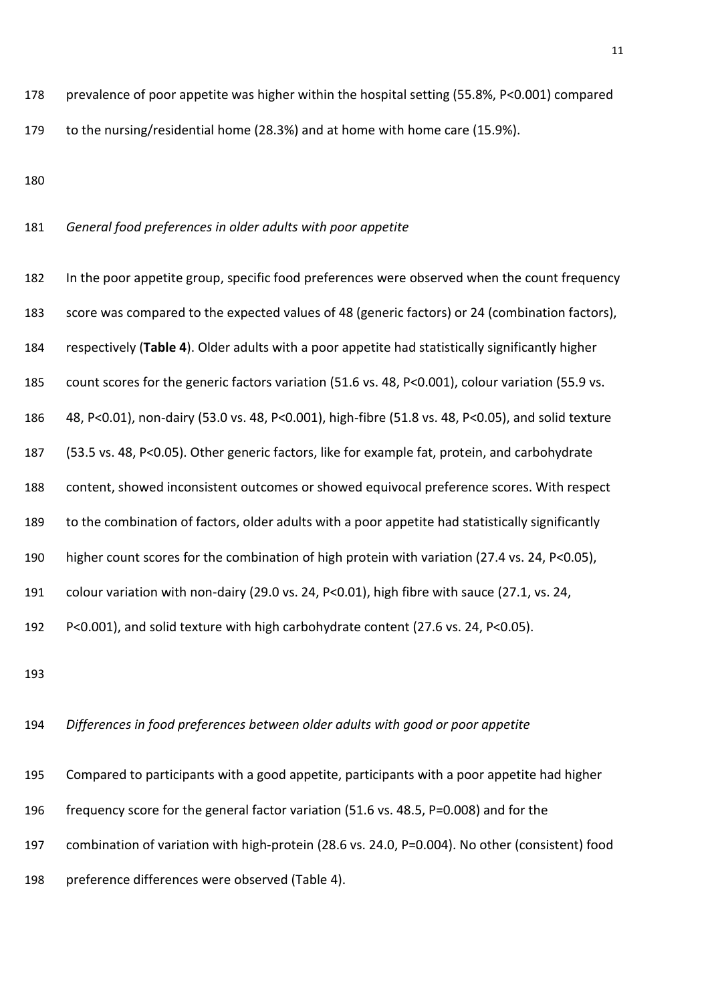prevalence of poor appetite was higher within the hospital setting (55.8%, P<0.001) compared to the nursing/residential home (28.3%) and at home with home care (15.9%).

*General food preferences in older adults with poor appetite* 

 In the poor appetite group, specific food preferences were observed when the count frequency score was compared to the expected values of 48 (generic factors) or 24 (combination factors), respectively (**Table 4**). Older adults with a poor appetite had statistically significantly higher count scores for the generic factors variation (51.6 vs. 48, P<0.001), colour variation (55.9 vs. 48, P<0.01), non-dairy (53.0 vs. 48, P<0.001), high-fibre (51.8 vs. 48, P<0.05), and solid texture (53.5 vs. 48, P<0.05). Other generic factors, like for example fat, protein, and carbohydrate content, showed inconsistent outcomes or showed equivocal preference scores. With respect to the combination of factors, older adults with a poor appetite had statistically significantly higher count scores for the combination of high protein with variation (27.4 vs. 24, P<0.05), colour variation with non-dairy (29.0 vs. 24, P<0.01), high fibre with sauce (27.1, vs. 24, P<0.001), and solid texture with high carbohydrate content (27.6 vs. 24, P<0.05).

#### *Differences in food preferences between older adults with good or poor appetite*

 Compared to participants with a good appetite, participants with a poor appetite had higher frequency score for the general factor variation (51.6 vs. 48.5, P=0.008) and for the combination of variation with high-protein (28.6 vs. 24.0, P=0.004). No other (consistent) food preference differences were observed (Table 4).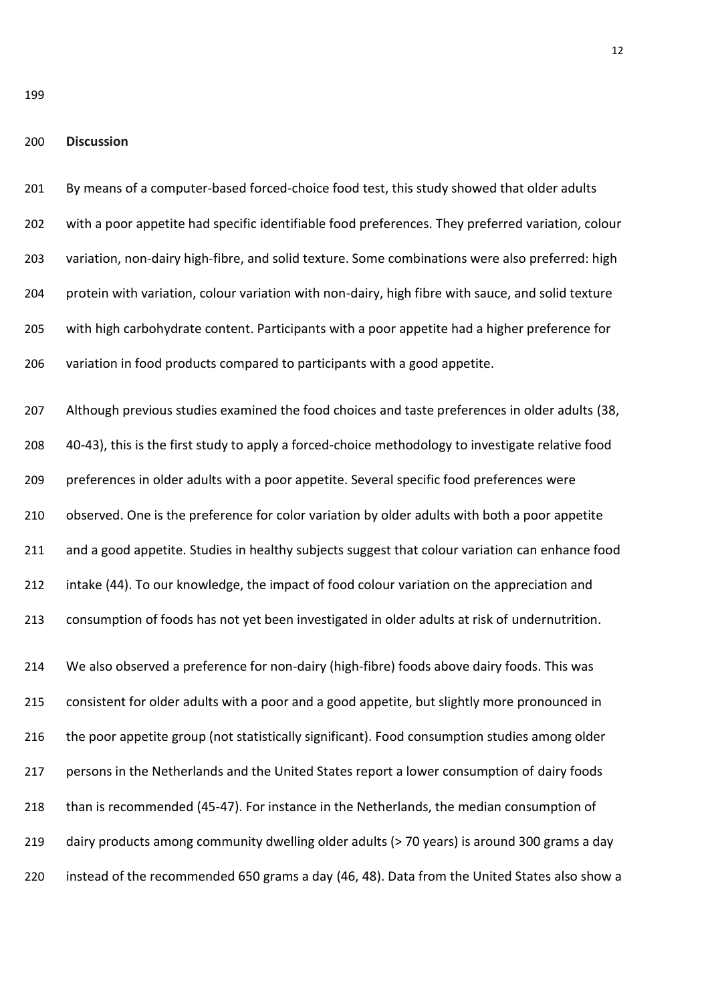**Discussion**

 By means of a computer-based forced-choice food test, this study showed that older adults with a poor appetite had specific identifiable food preferences. They preferred variation, colour variation, non-dairy high-fibre, and solid texture. Some combinations were also preferred: high protein with variation, colour variation with non-dairy, high fibre with sauce, and solid texture with high carbohydrate content. Participants with a poor appetite had a higher preference for variation in food products compared to participants with a good appetite.

207 Although previous studies examined the food choices and taste preferences in older adults (38, 40-43), this is the first study to apply a forced-choice methodology to investigate relative food preferences in older adults with a poor appetite. Several specific food preferences were observed. One is the preference for color variation by older adults with both a poor appetite and a good appetite. Studies in healthy subjects suggest that colour variation can enhance food intake (44). To our knowledge, the impact of food colour variation on the appreciation and consumption of foods has not yet been investigated in older adults at risk of undernutrition.

 We also observed a preference for non-dairy (high-fibre) foods above dairy foods. This was consistent for older adults with a poor and a good appetite, but slightly more pronounced in the poor appetite group (not statistically significant). Food consumption studies among older persons in the Netherlands and the United States report a lower consumption of dairy foods than is recommended (45-47). For instance in the Netherlands, the median consumption of dairy products among community dwelling older adults (> 70 years) is around 300 grams a day instead of the recommended 650 grams a day (46, 48). Data from the United States also show a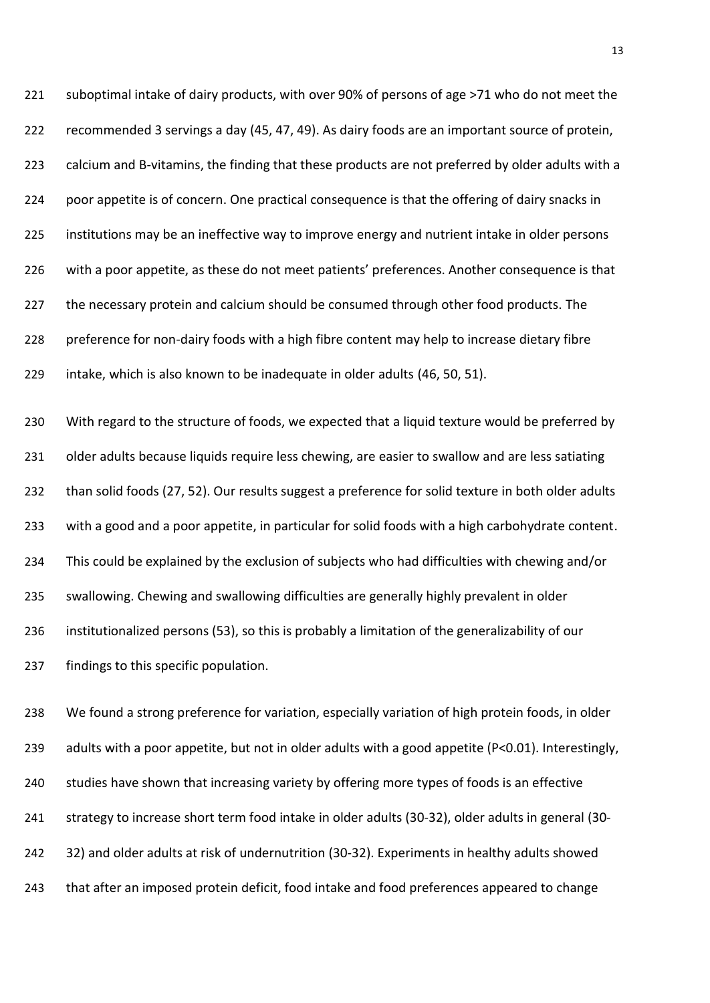suboptimal intake of dairy products, with over 90% of persons of age >71 who do not meet the recommended 3 servings a day (45, 47, 49). As dairy foods are an important source of protein, calcium and B-vitamins, the finding that these products are not preferred by older adults with a poor appetite is of concern. One practical consequence is that the offering of dairy snacks in institutions may be an ineffective way to improve energy and nutrient intake in older persons 226 with a poor appetite, as these do not meet patients' preferences. Another consequence is that 227 the necessary protein and calcium should be consumed through other food products. The preference for non-dairy foods with a high fibre content may help to increase dietary fibre intake, which is also known to be inadequate in older adults (46, 50, 51).

 With regard to the structure of foods, we expected that a liquid texture would be preferred by 231 older adults because liquids require less chewing, are easier to swallow and are less satiating than solid foods (27, 52). Our results suggest a preference for solid texture in both older adults with a good and a poor appetite, in particular for solid foods with a high carbohydrate content. This could be explained by the exclusion of subjects who had difficulties with chewing and/or swallowing. Chewing and swallowing difficulties are generally highly prevalent in older institutionalized persons (53), so this is probably a limitation of the generalizability of our findings to this specific population.

 We found a strong preference for variation, especially variation of high protein foods, in older adults with a poor appetite, but not in older adults with a good appetite (P<0.01). Interestingly, studies have shown that increasing variety by offering more types of foods is an effective strategy to increase short term food intake in older adults (30-32), older adults in general (30- 32) and older adults at risk of undernutrition (30-32). Experiments in healthy adults showed that after an imposed protein deficit, food intake and food preferences appeared to change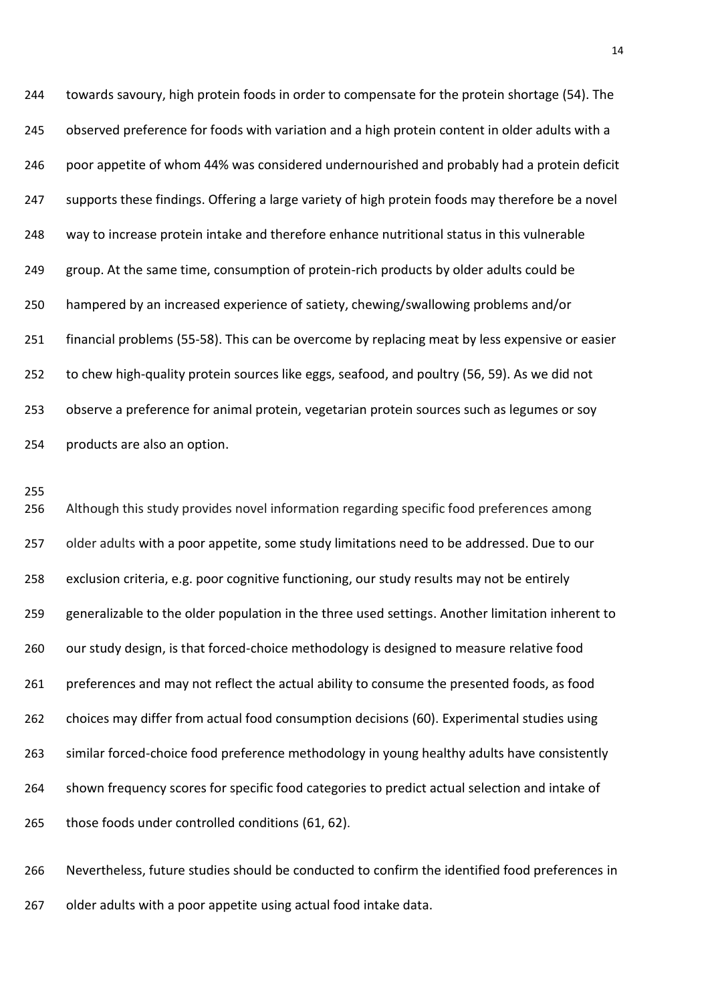towards savoury, high protein foods in order to compensate for the protein shortage (54). The observed preference for foods with variation and a high protein content in older adults with a poor appetite of whom 44% was considered undernourished and probably had a protein deficit supports these findings. Offering a large variety of high protein foods may therefore be a novel way to increase protein intake and therefore enhance nutritional status in this vulnerable group. At the same time, consumption of protein-rich products by older adults could be hampered by an increased experience of satiety, chewing/swallowing problems and/or financial problems (55-58). This can be overcome by replacing meat by less expensive or easier to chew high-quality protein sources like eggs, seafood, and poultry (56, 59). As we did not observe a preference for animal protein, vegetarian protein sources such as legumes or soy products are also an option.

 Although this study provides novel information regarding specific food preferences among older adults with a poor appetite, some study limitations need to be addressed. Due to our exclusion criteria, e.g. poor cognitive functioning, our study results may not be entirely generalizable to the older population in the three used settings. Another limitation inherent to 260 our study design, is that forced-choice methodology is designed to measure relative food preferences and may not reflect the actual ability to consume the presented foods, as food choices may differ from actual food consumption decisions (60). Experimental studies using similar forced-choice food preference methodology in young healthy adults have consistently shown frequency scores for specific food categories to predict actual selection and intake of those foods under controlled conditions (61, 62).

 Nevertheless, future studies should be conducted to confirm the identified food preferences in older adults with a poor appetite using actual food intake data.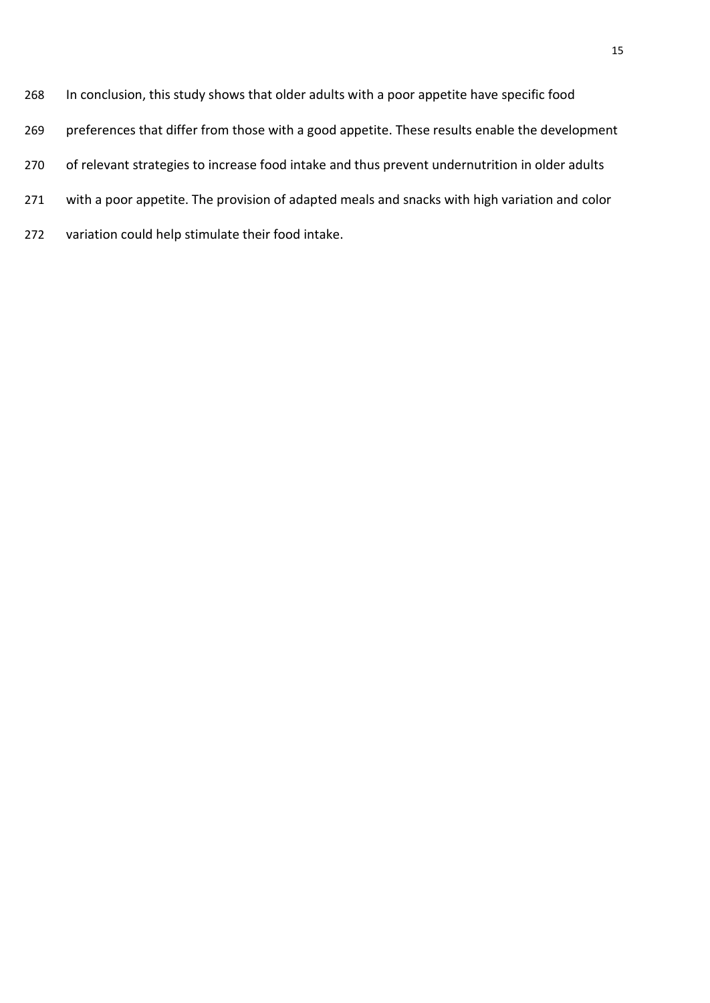- In conclusion, this study shows that older adults with a poor appetite have specific food
- preferences that differ from those with a good appetite. These results enable the development
- 270 of relevant strategies to increase food intake and thus prevent undernutrition in older adults
- with a poor appetite. The provision of adapted meals and snacks with high variation and color
- variation could help stimulate their food intake.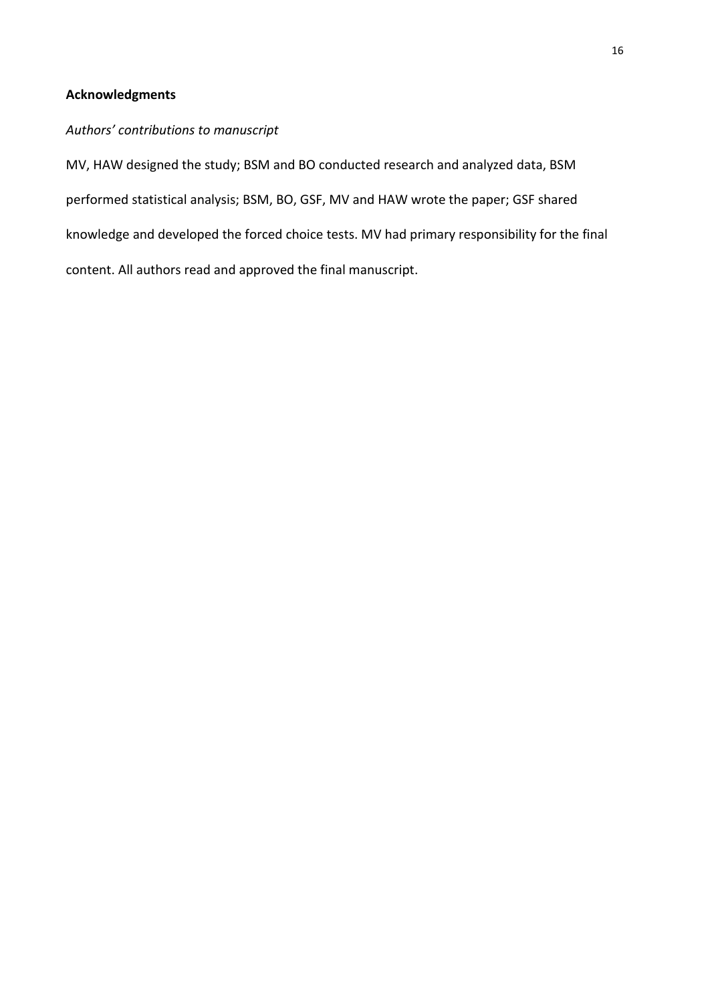# **Acknowledgments**

# *Authors' contributions to manuscript*

MV, HAW designed the study; BSM and BO conducted research and analyzed data, BSM performed statistical analysis; BSM, BO, GSF, MV and HAW wrote the paper; GSF shared knowledge and developed the forced choice tests. MV had primary responsibility for the final content. All authors read and approved the final manuscript.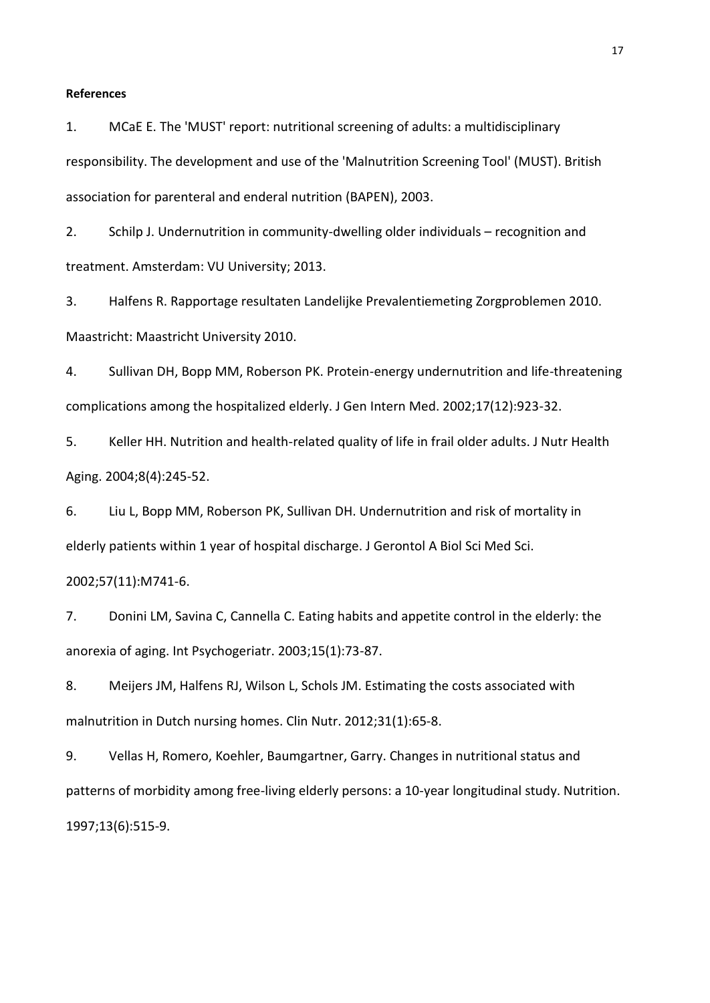#### **References**

1. MCaE E. The 'MUST' report: nutritional screening of adults: a multidisciplinary responsibility. The development and use of the 'Malnutrition Screening Tool' (MUST). British association for parenteral and enderal nutrition (BAPEN), 2003.

2. Schilp J. Undernutrition in community-dwelling older individuals – recognition and treatment. Amsterdam: VU University; 2013.

3. Halfens R. Rapportage resultaten Landelijke Prevalentiemeting Zorgproblemen 2010. Maastricht: Maastricht University 2010.

4. Sullivan DH, Bopp MM, Roberson PK. Protein-energy undernutrition and life-threatening complications among the hospitalized elderly. J Gen Intern Med. 2002;17(12):923-32.

5. Keller HH. Nutrition and health-related quality of life in frail older adults. J Nutr Health Aging. 2004;8(4):245-52.

6. Liu L, Bopp MM, Roberson PK, Sullivan DH. Undernutrition and risk of mortality in elderly patients within 1 year of hospital discharge. J Gerontol A Biol Sci Med Sci.

#### 2002;57(11):M741-6.

7. Donini LM, Savina C, Cannella C. Eating habits and appetite control in the elderly: the anorexia of aging. Int Psychogeriatr. 2003;15(1):73-87.

8. Meijers JM, Halfens RJ, Wilson L, Schols JM. Estimating the costs associated with malnutrition in Dutch nursing homes. Clin Nutr. 2012;31(1):65-8.

9. Vellas H, Romero, Koehler, Baumgartner, Garry. Changes in nutritional status and patterns of morbidity among free-living elderly persons: a 10-year longitudinal study. Nutrition. 1997;13(6):515-9.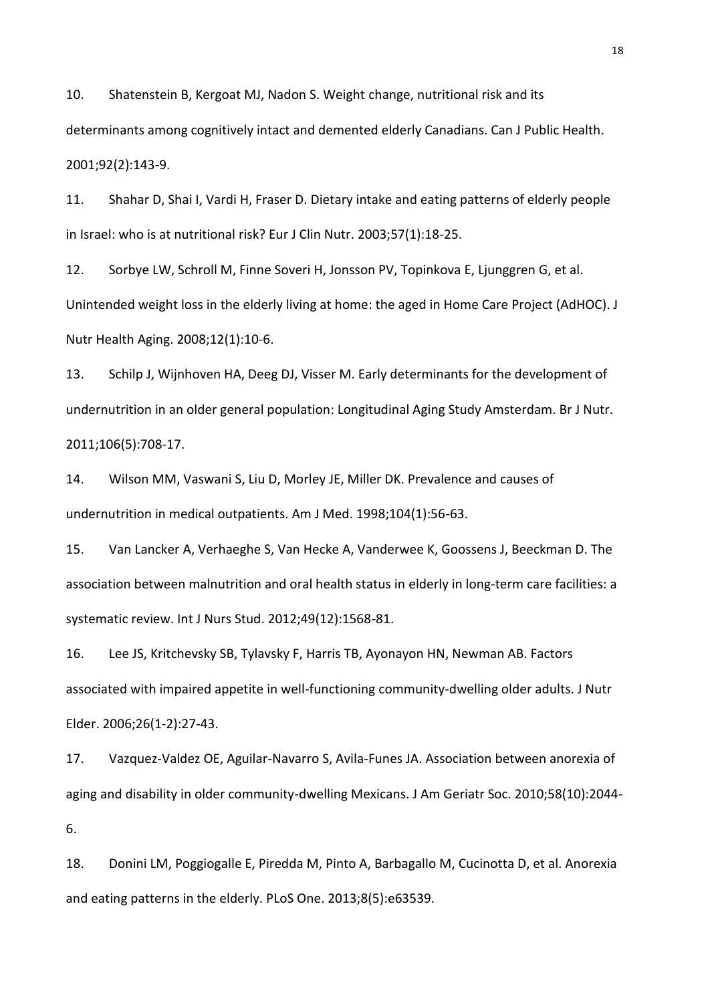10. Shatenstein B, Kergoat MJ, Nadon S. Weight change, nutritional risk and its determinants among cognitively intact and demented elderly Canadians. Can J Public Health. 2001;92(2):143-9.

11. Shahar D, Shai I, Vardi H, Fraser D. Dietary intake and eating patterns of elderly people in Israel: who is at nutritional risk? Eur J Clin Nutr. 2003;57(1):18-25.

12. Sorbye LW, Schroll M, Finne Soveri H, Jonsson PV, Topinkova E, Ljunggren G, et al. Unintended weight loss in the elderly living at home: the aged in Home Care Project (AdHOC). J Nutr Health Aging. 2008;12(1):10-6.

13. Schilp J, Wijnhoven HA, Deeg DJ, Visser M. Early determinants for the development of undernutrition in an older general population: Longitudinal Aging Study Amsterdam. Br J Nutr. 2011;106(5):708-17.

14. Wilson MM, Vaswani S, Liu D, Morley JE, Miller DK. Prevalence and causes of undernutrition in medical outpatients. Am J Med. 1998;104(1):56-63.

15. Van Lancker A, Verhaeghe S, Van Hecke A, Vanderwee K, Goossens J, Beeckman D. The association between malnutrition and oral health status in elderly in long-term care facilities: a systematic review. Int J Nurs Stud. 2012;49(12):1568-81.

16. Lee JS, Kritchevsky SB, Tylavsky F, Harris TB, Ayonayon HN, Newman AB. Factors associated with impaired appetite in well-functioning community-dwelling older adults. J Nutr Elder. 2006;26(1-2):27-43.

17. Vazquez-Valdez OE, Aguilar-Navarro S, Avila-Funes JA. Association between anorexia of aging and disability in older community-dwelling Mexicans. J Am Geriatr Soc. 2010;58(10):2044- 6.

18. Donini LM, Poggiogalle E, Piredda M, Pinto A, Barbagallo M, Cucinotta D, et al. Anorexia and eating patterns in the elderly. PLoS One. 2013;8(5):e63539.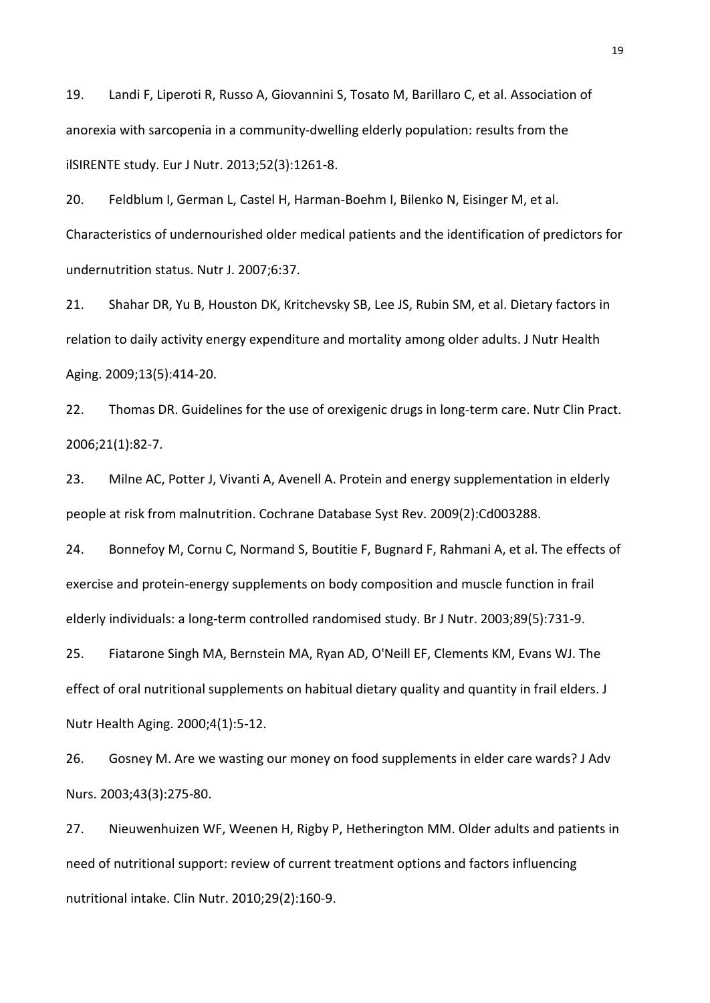19. Landi F, Liperoti R, Russo A, Giovannini S, Tosato M, Barillaro C, et al. Association of anorexia with sarcopenia in a community-dwelling elderly population: results from the ilSIRENTE study. Eur J Nutr. 2013;52(3):1261-8.

20. Feldblum I, German L, Castel H, Harman-Boehm I, Bilenko N, Eisinger M, et al. Characteristics of undernourished older medical patients and the identification of predictors for undernutrition status. Nutr J. 2007;6:37.

21. Shahar DR, Yu B, Houston DK, Kritchevsky SB, Lee JS, Rubin SM, et al. Dietary factors in relation to daily activity energy expenditure and mortality among older adults. J Nutr Health Aging. 2009;13(5):414-20.

22. Thomas DR. Guidelines for the use of orexigenic drugs in long-term care. Nutr Clin Pract. 2006;21(1):82-7.

23. Milne AC, Potter J, Vivanti A, Avenell A. Protein and energy supplementation in elderly people at risk from malnutrition. Cochrane Database Syst Rev. 2009(2):Cd003288.

24. Bonnefoy M, Cornu C, Normand S, Boutitie F, Bugnard F, Rahmani A, et al. The effects of exercise and protein-energy supplements on body composition and muscle function in frail elderly individuals: a long-term controlled randomised study. Br J Nutr. 2003;89(5):731-9.

25. Fiatarone Singh MA, Bernstein MA, Ryan AD, O'Neill EF, Clements KM, Evans WJ. The effect of oral nutritional supplements on habitual dietary quality and quantity in frail elders. J Nutr Health Aging. 2000;4(1):5-12.

26. Gosney M. Are we wasting our money on food supplements in elder care wards? J Adv Nurs. 2003;43(3):275-80.

27. Nieuwenhuizen WF, Weenen H, Rigby P, Hetherington MM. Older adults and patients in need of nutritional support: review of current treatment options and factors influencing nutritional intake. Clin Nutr. 2010;29(2):160-9.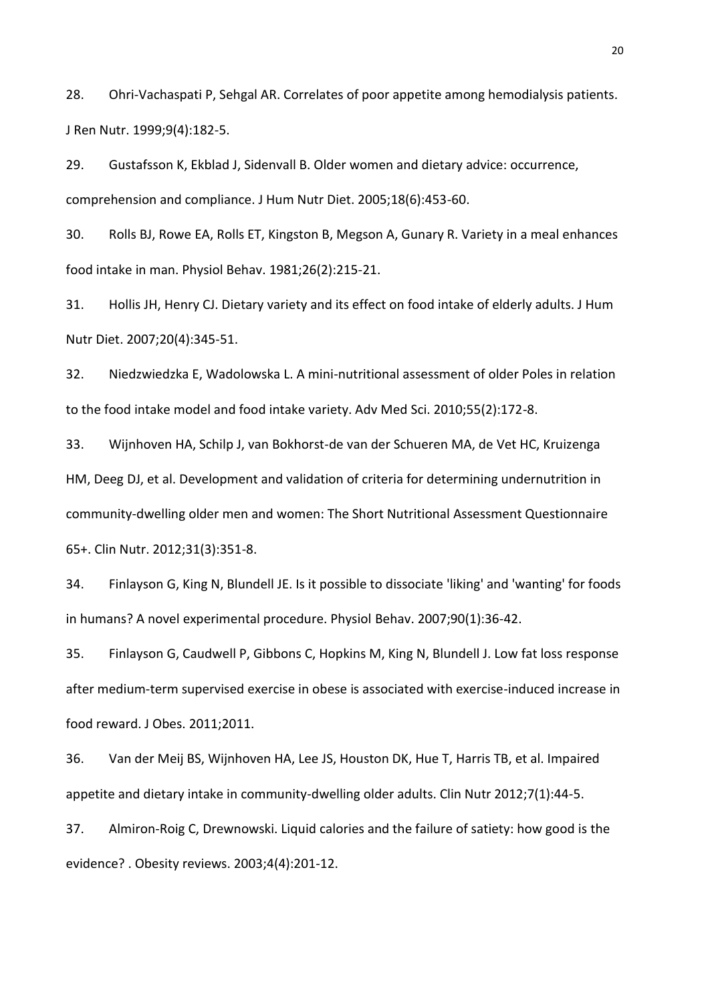28. Ohri-Vachaspati P, Sehgal AR. Correlates of poor appetite among hemodialysis patients. J Ren Nutr. 1999;9(4):182-5.

29. Gustafsson K, Ekblad J, Sidenvall B. Older women and dietary advice: occurrence, comprehension and compliance. J Hum Nutr Diet. 2005;18(6):453-60.

30. Rolls BJ, Rowe EA, Rolls ET, Kingston B, Megson A, Gunary R. Variety in a meal enhances food intake in man. Physiol Behav. 1981;26(2):215-21.

31. Hollis JH, Henry CJ. Dietary variety and its effect on food intake of elderly adults. J Hum Nutr Diet. 2007;20(4):345-51.

32. Niedzwiedzka E, Wadolowska L. A mini-nutritional assessment of older Poles in relation to the food intake model and food intake variety. Adv Med Sci. 2010;55(2):172-8.

33. Wijnhoven HA, Schilp J, van Bokhorst-de van der Schueren MA, de Vet HC, Kruizenga HM, Deeg DJ, et al. Development and validation of criteria for determining undernutrition in community-dwelling older men and women: The Short Nutritional Assessment Questionnaire 65+. Clin Nutr. 2012;31(3):351-8.

34. Finlayson G, King N, Blundell JE. Is it possible to dissociate 'liking' and 'wanting' for foods in humans? A novel experimental procedure. Physiol Behav. 2007;90(1):36-42.

35. Finlayson G, Caudwell P, Gibbons C, Hopkins M, King N, Blundell J. Low fat loss response after medium-term supervised exercise in obese is associated with exercise-induced increase in food reward. J Obes. 2011;2011.

36. Van der Meij BS, Wijnhoven HA, Lee JS, Houston DK, Hue T, Harris TB, et al. Impaired appetite and dietary intake in community-dwelling older adults. Clin Nutr 2012;7(1):44-5.

37. Almiron-Roig C, Drewnowski. Liquid calories and the failure of satiety: how good is the evidence? . Obesity reviews. 2003;4(4):201-12.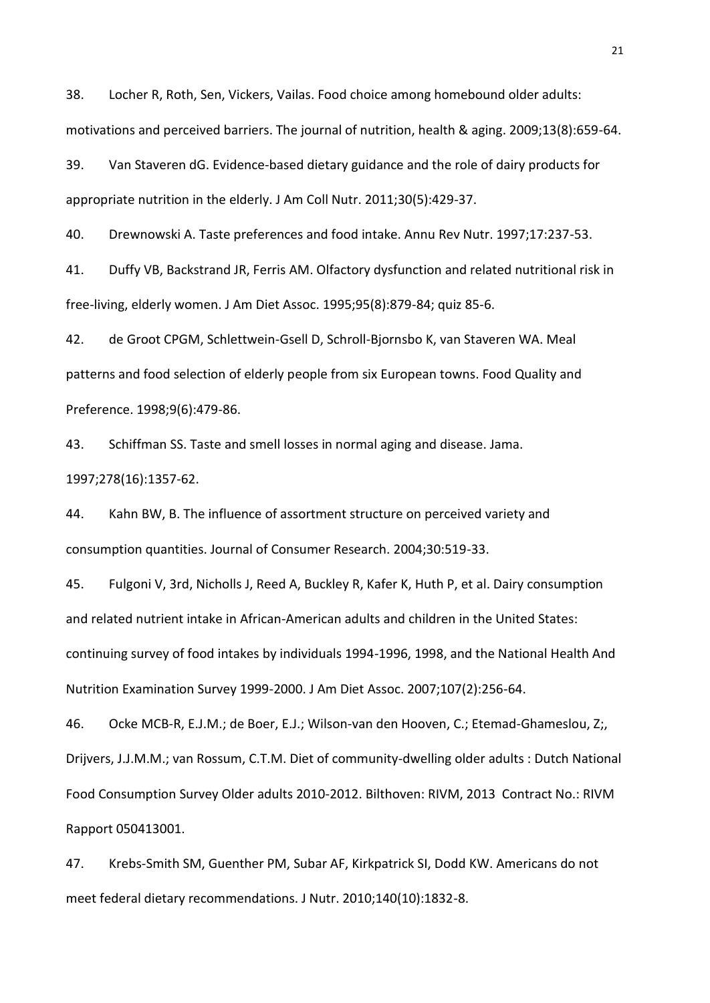38. Locher R, Roth, Sen, Vickers, Vailas. Food choice among homebound older adults: motivations and perceived barriers. The journal of nutrition, health & aging. 2009;13(8):659-64.

39. Van Staveren dG. Evidence-based dietary guidance and the role of dairy products for appropriate nutrition in the elderly. J Am Coll Nutr. 2011;30(5):429-37.

40. Drewnowski A. Taste preferences and food intake. Annu Rev Nutr. 1997;17:237-53.

41. Duffy VB, Backstrand JR, Ferris AM. Olfactory dysfunction and related nutritional risk in free-living, elderly women. J Am Diet Assoc. 1995;95(8):879-84; quiz 85-6.

42. de Groot CPGM, Schlettwein-Gsell D, Schroll-Bjornsbo K, van Staveren WA. Meal patterns and food selection of elderly people from six European towns. Food Quality and Preference. 1998;9(6):479-86.

43. Schiffman SS. Taste and smell losses in normal aging and disease. Jama. 1997;278(16):1357-62.

44. Kahn BW, B. The influence of assortment structure on perceived variety and consumption quantities. Journal of Consumer Research. 2004;30:519-33.

45. Fulgoni V, 3rd, Nicholls J, Reed A, Buckley R, Kafer K, Huth P, et al. Dairy consumption and related nutrient intake in African-American adults and children in the United States: continuing survey of food intakes by individuals 1994-1996, 1998, and the National Health And Nutrition Examination Survey 1999-2000. J Am Diet Assoc. 2007;107(2):256-64.

46. Ocke MCB-R, E.J.M.; de Boer, E.J.; Wilson-van den Hooven, C.; Etemad-Ghameslou, Z;, Drijvers, J.J.M.M.; van Rossum, C.T.M. Diet of community-dwelling older adults : Dutch National Food Consumption Survey Older adults 2010-2012. Bilthoven: RIVM, 2013 Contract No.: RIVM Rapport 050413001.

47. Krebs-Smith SM, Guenther PM, Subar AF, Kirkpatrick SI, Dodd KW. Americans do not meet federal dietary recommendations. J Nutr. 2010;140(10):1832-8.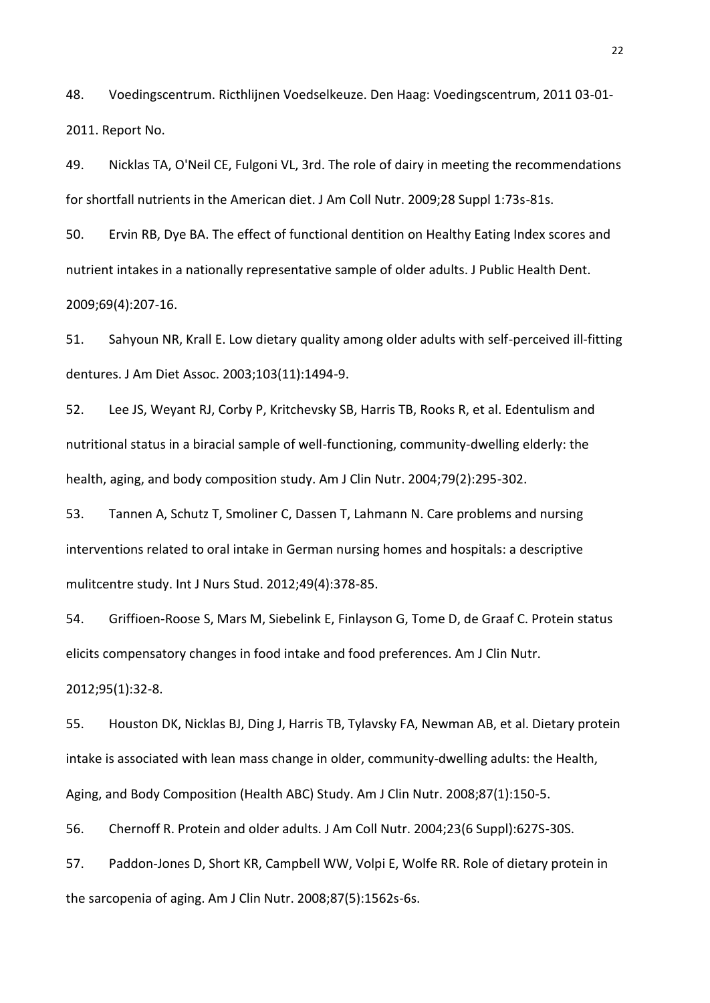48. Voedingscentrum. Ricthlijnen Voedselkeuze. Den Haag: Voedingscentrum, 2011 03-01- 2011. Report No.

49. Nicklas TA, O'Neil CE, Fulgoni VL, 3rd. The role of dairy in meeting the recommendations for shortfall nutrients in the American diet. J Am Coll Nutr. 2009;28 Suppl 1:73s-81s.

50. Ervin RB, Dye BA. The effect of functional dentition on Healthy Eating Index scores and nutrient intakes in a nationally representative sample of older adults. J Public Health Dent. 2009;69(4):207-16.

51. Sahyoun NR, Krall E. Low dietary quality among older adults with self-perceived ill-fitting dentures. J Am Diet Assoc. 2003;103(11):1494-9.

52. Lee JS, Weyant RJ, Corby P, Kritchevsky SB, Harris TB, Rooks R, et al. Edentulism and nutritional status in a biracial sample of well-functioning, community-dwelling elderly: the health, aging, and body composition study. Am J Clin Nutr. 2004;79(2):295-302.

53. Tannen A, Schutz T, Smoliner C, Dassen T, Lahmann N. Care problems and nursing interventions related to oral intake in German nursing homes and hospitals: a descriptive mulitcentre study. Int J Nurs Stud. 2012;49(4):378-85.

54. Griffioen-Roose S, Mars M, Siebelink E, Finlayson G, Tome D, de Graaf C. Protein status elicits compensatory changes in food intake and food preferences. Am J Clin Nutr. 2012;95(1):32-8.

55. Houston DK, Nicklas BJ, Ding J, Harris TB, Tylavsky FA, Newman AB, et al. Dietary protein intake is associated with lean mass change in older, community-dwelling adults: the Health, Aging, and Body Composition (Health ABC) Study. Am J Clin Nutr. 2008;87(1):150-5.

56. Chernoff R. Protein and older adults. J Am Coll Nutr. 2004;23(6 Suppl):627S-30S.

57. Paddon-Jones D, Short KR, Campbell WW, Volpi E, Wolfe RR. Role of dietary protein in the sarcopenia of aging. Am J Clin Nutr. 2008;87(5):1562s-6s.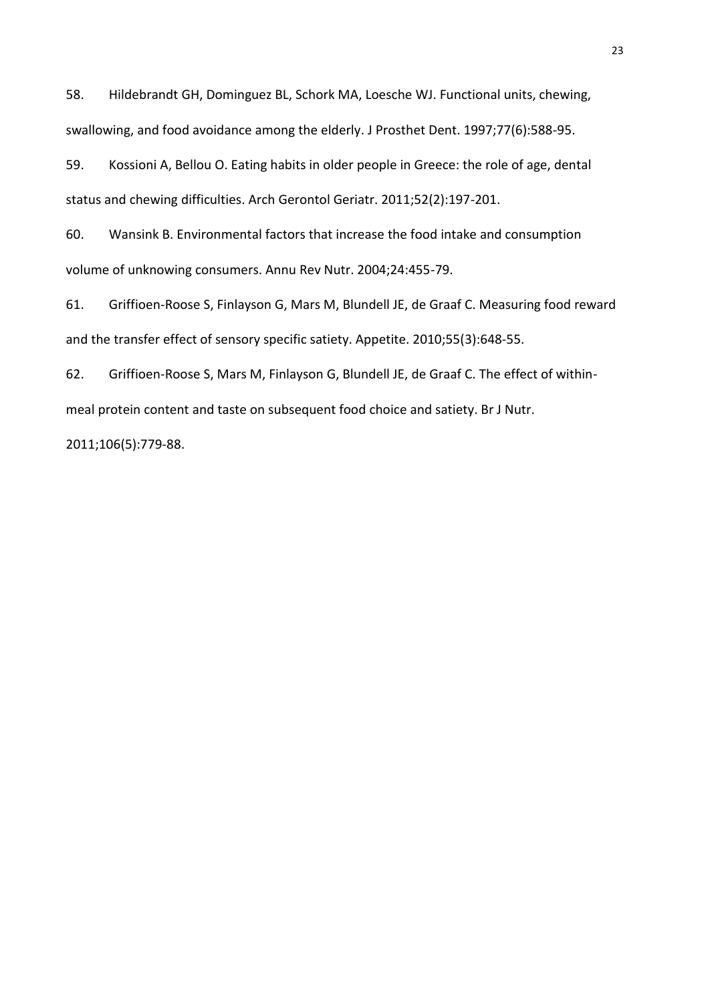58. Hildebrandt GH, Dominguez BL, Schork MA, Loesche WJ. Functional units, chewing, swallowing, and food avoidance among the elderly. J Prosthet Dent. 1997;77(6):588-95.

59. Kossioni A, Bellou O. Eating habits in older people in Greece: the role of age, dental status and chewing difficulties. Arch Gerontol Geriatr. 2011;52(2):197-201.

60. Wansink B. Environmental factors that increase the food intake and consumption volume of unknowing consumers. Annu Rev Nutr. 2004;24:455-79.

61. Griffioen-Roose S, Finlayson G, Mars M, Blundell JE, de Graaf C. Measuring food reward and the transfer effect of sensory specific satiety. Appetite. 2010;55(3):648-55.

62. Griffioen-Roose S, Mars M, Finlayson G, Blundell JE, de Graaf C. The effect of withinmeal protein content and taste on subsequent food choice and satiety. Br J Nutr. 2011;106(5):779-88.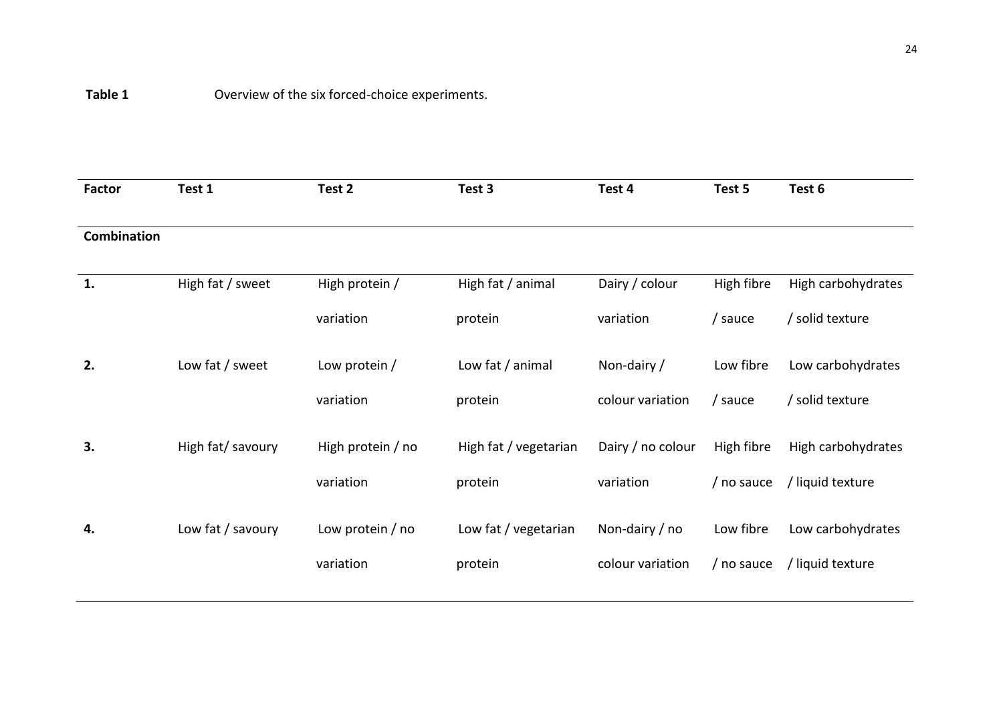| Factor      | Test 1            | Test 2            | Test 3                | Test 4            | Test 5     | Test 6             |
|-------------|-------------------|-------------------|-----------------------|-------------------|------------|--------------------|
| Combination |                   |                   |                       |                   |            |                    |
| 1.          | High fat / sweet  | High protein /    | High fat / animal     | Dairy / colour    | High fibre | High carbohydrates |
|             |                   | variation         | protein               | variation         | / sauce    | / solid texture    |
| 2.          | Low fat / sweet   | Low protein /     | Low fat / animal      | Non-dairy/        | Low fibre  | Low carbohydrates  |
|             |                   | variation         | protein               | colour variation  | / sauce    | / solid texture    |
| 3.          | High fat/ savoury | High protein / no | High fat / vegetarian | Dairy / no colour | High fibre | High carbohydrates |
|             |                   | variation         | protein               | variation         | / no sauce | / liquid texture   |
| 4.          | Low fat / savoury | Low protein / no  | Low fat / vegetarian  | Non-dairy / no    | Low fibre  | Low carbohydrates  |
|             |                   | variation         | protein               | colour variation  | / no sauce | / liquid texture   |
|             |                   |                   |                       |                   |            |                    |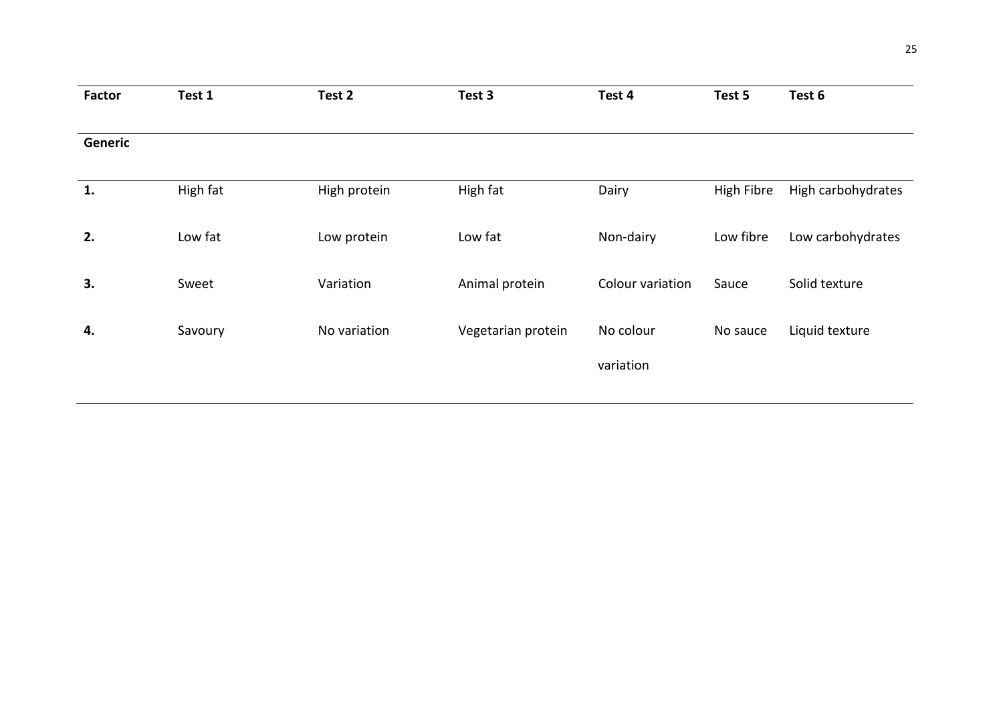| <b>Factor</b> | Test 1   | Test 2       | Test 3             | Test 4           | Test 5     | Test 6             |
|---------------|----------|--------------|--------------------|------------------|------------|--------------------|
|               |          |              |                    |                  |            |                    |
| Generic       |          |              |                    |                  |            |                    |
|               |          |              |                    |                  |            |                    |
| 1.            | High fat | High protein | High fat           | Dairy            | High Fibre | High carbohydrates |
|               |          |              |                    |                  |            |                    |
| 2.            | Low fat  | Low protein  | Low fat            | Non-dairy        | Low fibre  | Low carbohydrates  |
|               |          |              |                    |                  |            |                    |
| 3.            | Sweet    | Variation    | Animal protein     | Colour variation | Sauce      | Solid texture      |
|               |          |              |                    |                  |            |                    |
| 4.            | Savoury  | No variation | Vegetarian protein | No colour        | No sauce   | Liquid texture     |
|               |          |              |                    |                  |            |                    |
|               |          |              |                    | variation        |            |                    |
|               |          |              |                    |                  |            |                    |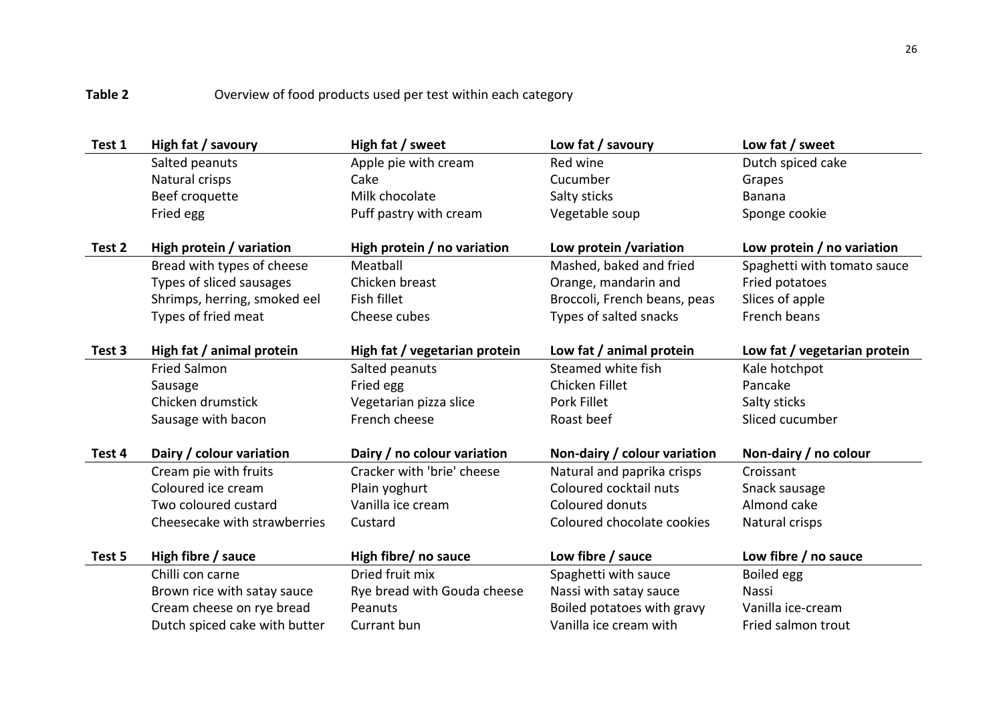# Table 2 **Overview of food products used per test within each category**

| Test 1 | High fat / savoury            | High fat / sweet              | Low fat / savoury            | Low fat / sweet              |
|--------|-------------------------------|-------------------------------|------------------------------|------------------------------|
|        | Salted peanuts                | Apple pie with cream          | Red wine                     | Dutch spiced cake            |
|        | Natural crisps                | Cake                          | Cucumber                     | Grapes                       |
|        | Beef croquette                | Milk chocolate                | Salty sticks                 | <b>Banana</b>                |
|        | Fried egg                     | Puff pastry with cream        | Vegetable soup               | Sponge cookie                |
|        |                               |                               |                              |                              |
| Test 2 | High protein / variation      | High protein / no variation   | Low protein / variation      | Low protein / no variation   |
|        | Bread with types of cheese    | Meatball                      | Mashed, baked and fried      | Spaghetti with tomato sauce  |
|        | Types of sliced sausages      | Chicken breast                | Orange, mandarin and         | Fried potatoes               |
|        | Shrimps, herring, smoked eel  | Fish fillet                   | Broccoli, French beans, peas | Slices of apple              |
|        | Types of fried meat           | Cheese cubes                  | Types of salted snacks       | French beans                 |
|        |                               |                               |                              |                              |
| Test 3 | High fat / animal protein     | High fat / vegetarian protein | Low fat / animal protein     | Low fat / vegetarian protein |
|        | <b>Fried Salmon</b>           | Salted peanuts                | Steamed white fish           | Kale hotchpot                |
|        | Sausage                       | Fried egg                     | Chicken Fillet               | Pancake                      |
|        | Chicken drumstick             | Vegetarian pizza slice        | Pork Fillet                  | Salty sticks                 |
|        | Sausage with bacon            | French cheese                 | Roast beef                   | Sliced cucumber              |
|        |                               |                               |                              |                              |
| Test 4 | Dairy / colour variation      | Dairy / no colour variation   | Non-dairy / colour variation | Non-dairy / no colour        |
|        | Cream pie with fruits         | Cracker with 'brie' cheese    | Natural and paprika crisps   | Croissant                    |
|        | Coloured ice cream            | Plain yoghurt                 | Coloured cocktail nuts       | Snack sausage                |
|        | Two coloured custard          | Vanilla ice cream             | Coloured donuts              | Almond cake                  |
|        | Cheesecake with strawberries  | Custard                       | Coloured chocolate cookies   | Natural crisps               |
|        |                               |                               |                              |                              |
| Test 5 | High fibre / sauce            | High fibre/ no sauce          | Low fibre / sauce            | Low fibre / no sauce         |
|        | Chilli con carne              | Dried fruit mix               | Spaghetti with sauce         | Boiled egg                   |
|        | Brown rice with satay sauce   | Rye bread with Gouda cheese   | Nassi with satay sauce       | Nassi                        |
|        | Cream cheese on rye bread     | Peanuts                       | Boiled potatoes with gravy   | Vanilla ice-cream            |
|        | Dutch spiced cake with butter | Currant bun                   | Vanilla ice cream with       | Fried salmon trout           |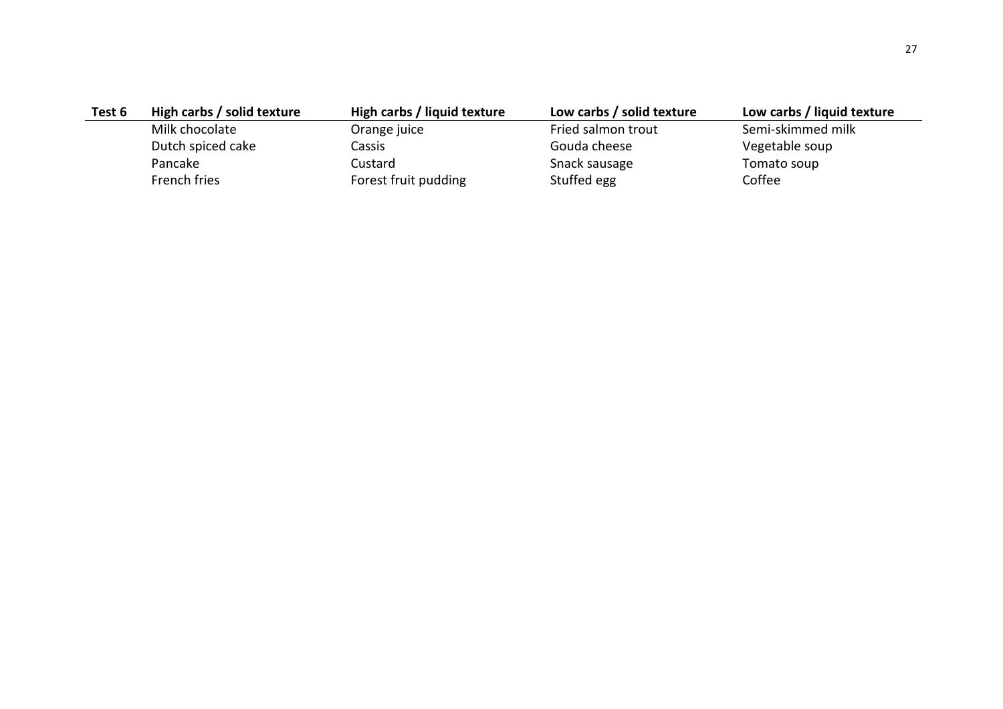| Test 6 | High carbs / solid texture | High carbs / liquid texture | Low carbs / solid texture | Low carbs / liquid texture |
|--------|----------------------------|-----------------------------|---------------------------|----------------------------|
|        | Milk chocolate             | Orange juice                | Fried salmon trout        | Semi-skimmed milk          |
|        | Dutch spiced cake          | Cassis                      | Gouda cheese              | Vegetable soup             |
|        | Pancake                    | Custard                     | Snack sausage             | Tomato soup                |
|        | French fries               | Forest fruit pudding        | Stuffed egg               | Coffee                     |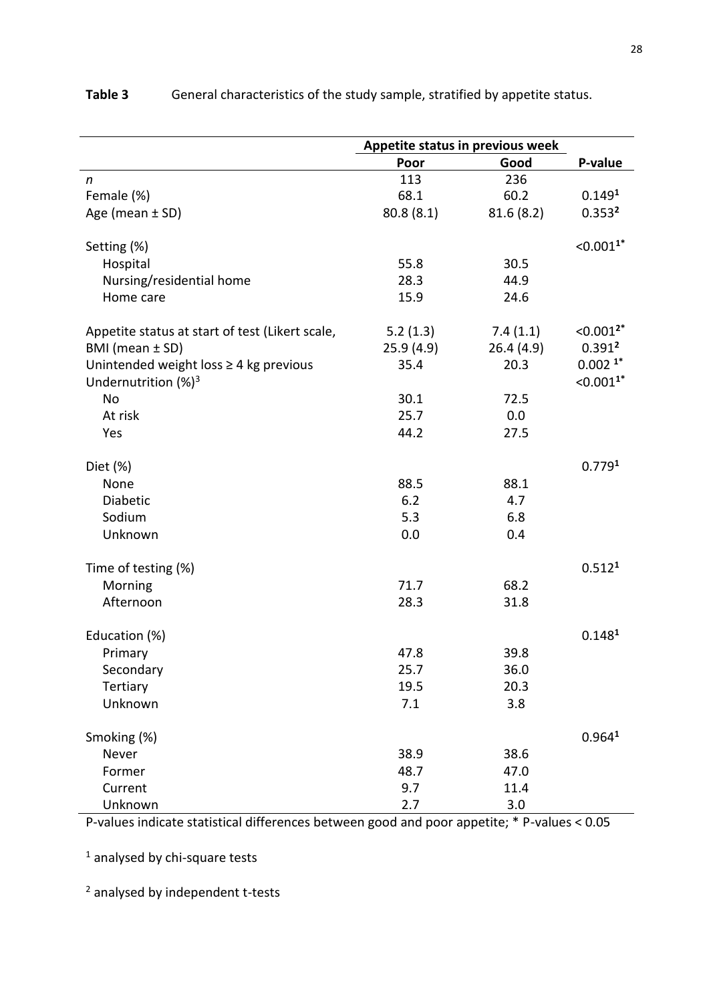|                                                 | Appetite status in previous week |           |                       |  |
|-------------------------------------------------|----------------------------------|-----------|-----------------------|--|
|                                                 | Poor                             | Good      | P-value               |  |
| $\mathsf{n}$                                    | 113                              | 236       |                       |  |
| Female (%)                                      | 68.1                             | 60.2      | 0.149 <sup>1</sup>    |  |
| Age (mean $\pm$ SD)                             | 80.8(8.1)                        | 81.6(8.2) | 0.353 <sup>2</sup>    |  |
|                                                 |                                  |           |                       |  |
| Setting (%)                                     |                                  |           | $< 0.0011*$           |  |
| Hospital                                        | 55.8                             | 30.5      |                       |  |
| Nursing/residential home                        | 28.3                             | 44.9      |                       |  |
| Home care                                       | 15.9                             | 24.6      |                       |  |
| Appetite status at start of test (Likert scale, | 5.2(1.3)                         | 7.4(1.1)  | $< 0.001^{2*}$        |  |
| BMI (mean ± SD)                                 | 25.9(4.9)                        | 26.4(4.9) | 0.391 <sup>2</sup>    |  |
| Unintended weight loss ≥ 4 kg previous          | 35.4                             | 20.3      | $0.002$ <sup>1*</sup> |  |
| Undernutrition $(%)^3$                          |                                  |           | $< 0.0011*$           |  |
| No                                              | 30.1                             | 72.5      |                       |  |
| At risk                                         | 25.7                             | 0.0       |                       |  |
| Yes                                             | 44.2                             | 27.5      |                       |  |
|                                                 |                                  |           |                       |  |
| Diet (%)                                        |                                  |           | 0.7791                |  |
| None                                            | 88.5                             | 88.1      |                       |  |
| Diabetic                                        | 6.2                              | 4.7       |                       |  |
| Sodium                                          | 5.3                              | 6.8       |                       |  |
| Unknown                                         | 0.0                              | 0.4       |                       |  |
| Time of testing (%)                             |                                  |           | 0.512 <sup>1</sup>    |  |
| Morning                                         | 71.7                             | 68.2      |                       |  |
| Afternoon                                       | 28.3                             | 31.8      |                       |  |
|                                                 |                                  |           |                       |  |
| Education (%)                                   |                                  |           | 0.148 <sup>1</sup>    |  |
| Primary                                         | 47.8                             | 39.8      |                       |  |
| Secondary                                       | 25.7                             | 36.0      |                       |  |
| Tertiary                                        | 19.5                             | 20.3      |                       |  |
| Unknown                                         | 7.1                              | 3.8       |                       |  |
| Smoking (%)                                     |                                  |           | 0.964 <sup>1</sup>    |  |
| Never                                           | 38.9                             | 38.6      |                       |  |
| Former                                          | 48.7                             | 47.0      |                       |  |
| Current                                         | 9.7                              | 11.4      |                       |  |
| Unknown                                         | 2.7                              | 3.0       |                       |  |

# **Table 3** General characteristics of the study sample, stratified by appetite status.

P-values indicate statistical differences between good and poor appetite; \* P-values < 0.05

 $<sup>1</sup>$  analysed by chi-square tests</sup>

<sup>2</sup> analysed by independent t-tests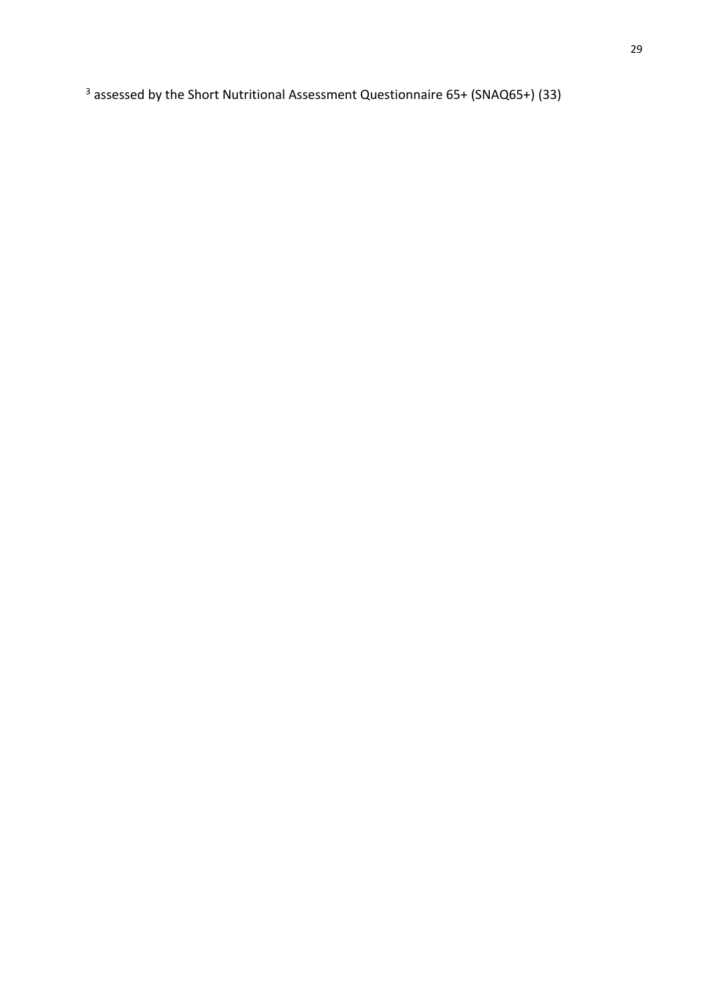<sup>3</sup> assessed by the Short Nutritional Assessment Questionnaire 65+ (SNAQ65+) (33)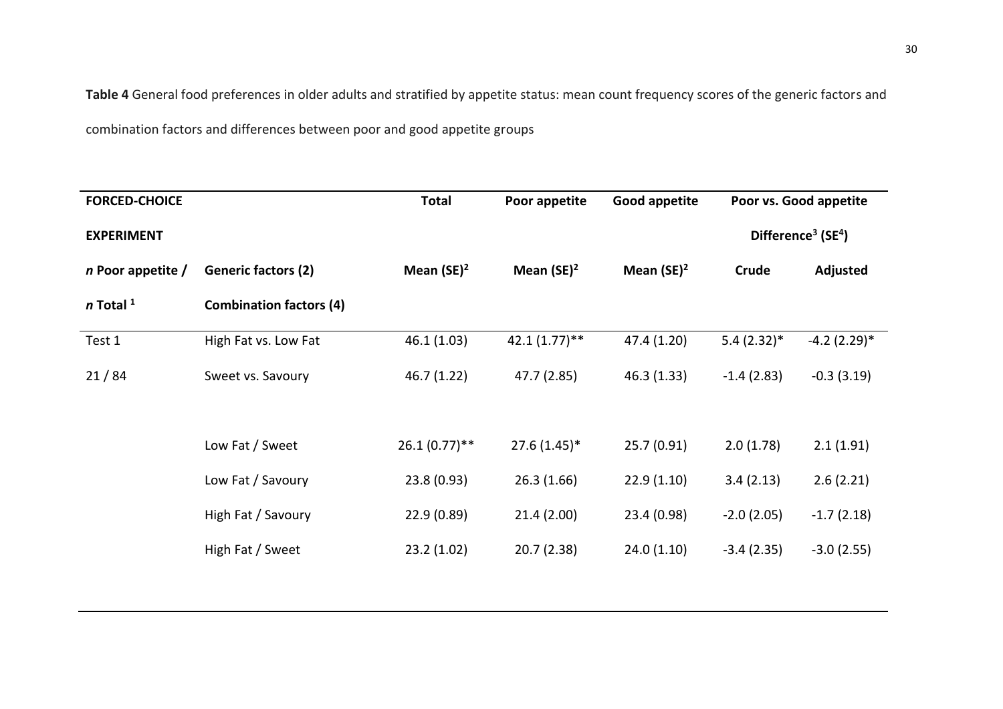**Table 4** General food preferences in older adults and stratified by appetite status: mean count frequency scores of the generic factors and

combination factors and differences between poor and good appetite groups

| <b>FORCED-CHOICE</b> |                                | <b>Total</b>    | Poor appetite   | Good appetite | Poor vs. Good appetite |                                            |
|----------------------|--------------------------------|-----------------|-----------------|---------------|------------------------|--------------------------------------------|
| <b>EXPERIMENT</b>    |                                |                 |                 |               |                        | Difference <sup>3</sup> (SE <sup>4</sup> ) |
| $n$ Poor appetite /  | <b>Generic factors (2)</b>     | Mean $(SE)^2$   | Mean $(SE)^2$   | Mean $(SE)^2$ | Crude                  | Adjusted                                   |
| $n$ Total $1$        | <b>Combination factors (4)</b> |                 |                 |               |                        |                                            |
| Test 1               | High Fat vs. Low Fat           | 46.1 (1.03)     | $42.1(1.77)$ ** | 47.4 (1.20)   | $5.4(2.32)*$           | $-4.2$ (2.29) <sup>*</sup>                 |
| 21/84                | Sweet vs. Savoury              | 46.7 (1.22)     | 47.7 (2.85)     | 46.3(1.33)    | $-1.4(2.83)$           | $-0.3(3.19)$                               |
|                      |                                |                 |                 |               |                        |                                            |
|                      | Low Fat / Sweet                | $26.1(0.77)$ ** | $27.6(1.45)$ *  | 25.7(0.91)    | 2.0(1.78)              | 2.1(1.91)                                  |
|                      | Low Fat / Savoury              | 23.8(0.93)      | 26.3(1.66)      | 22.9(1.10)    | 3.4(2.13)              | 2.6(2.21)                                  |
|                      | High Fat / Savoury             | 22.9(0.89)      | 21.4(2.00)      | 23.4 (0.98)   | $-2.0(2.05)$           | $-1.7(2.18)$                               |
|                      | High Fat / Sweet               | 23.2(1.02)      | 20.7(2.38)      | 24.0(1.10)    | $-3.4(2.35)$           | $-3.0(2.55)$                               |
|                      |                                |                 |                 |               |                        |                                            |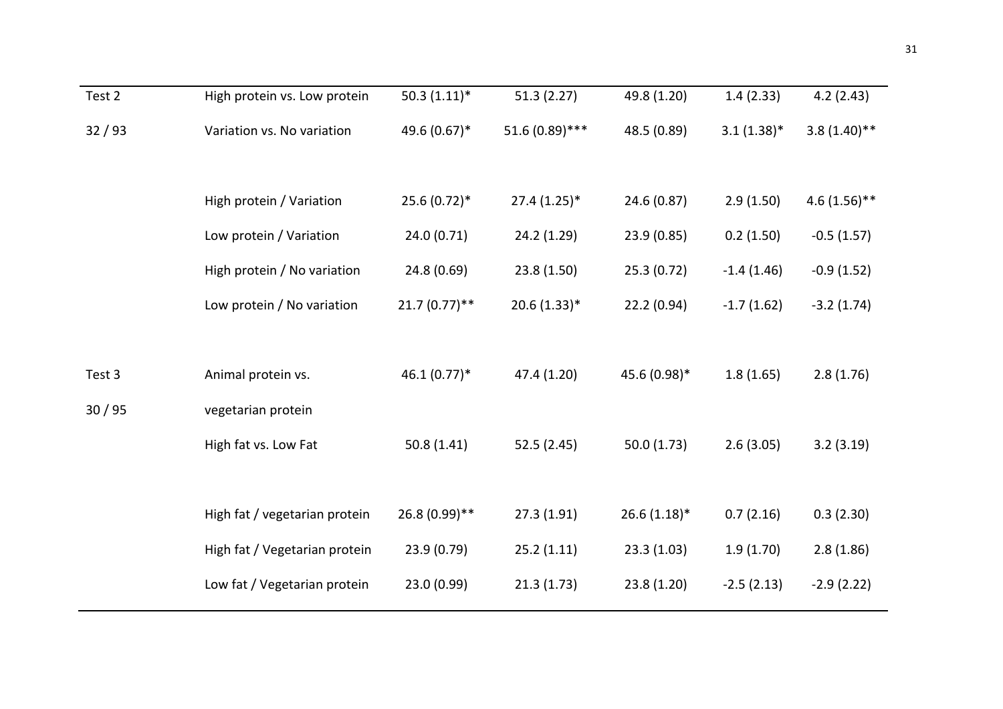| Test 2 | High protein vs. Low protein  | $50.3(1.11)*$   | 51.3(2.27)      | 49.8 (1.20)    | 1.4(2.33)     | 4.2(2.43)      |
|--------|-------------------------------|-----------------|-----------------|----------------|---------------|----------------|
| 32/93  | Variation vs. No variation    | 49.6 (0.67)*    | 51.6 (0.89) *** | 48.5 (0.89)    | $3.1(1.38)^*$ | $3.8(1.40)$ ** |
|        |                               |                 |                 |                |               |                |
|        | High protein / Variation      | 25.6 (0.72)*    | $27.4(1.25)$ *  | 24.6 (0.87)    | 2.9(1.50)     | $4.6(1.56)$ ** |
|        | Low protein / Variation       | 24.0 (0.71)     | 24.2 (1.29)     | 23.9 (0.85)    | 0.2(1.50)     | $-0.5(1.57)$   |
|        | High protein / No variation   | 24.8 (0.69)     | 23.8 (1.50)     | 25.3(0.72)     | $-1.4(1.46)$  | $-0.9(1.52)$   |
|        | Low protein / No variation    | $21.7(0.77)$ ** | $20.6(1.33)*$   | 22.2(0.94)     | $-1.7(1.62)$  | $-3.2(1.74)$   |
|        |                               |                 |                 |                |               |                |
| Test 3 | Animal protein vs.            | $46.1(0.77)*$   | 47.4 (1.20)     | 45.6 (0.98)*   | 1.8(1.65)     | 2.8(1.76)      |
| 30/95  | vegetarian protein            |                 |                 |                |               |                |
|        | High fat vs. Low Fat          | 50.8(1.41)      | 52.5(2.45)      | 50.0(1.73)     | 2.6(3.05)     | 3.2(3.19)      |
|        |                               |                 |                 |                |               |                |
|        | High fat / vegetarian protein | 26.8 (0.99)**   | 27.3(1.91)      | $26.6(1.18)$ * | 0.7(2.16)     | 0.3(2.30)      |
|        | High fat / Vegetarian protein | 23.9 (0.79)     | 25.2(1.11)      | 23.3(1.03)     | 1.9(1.70)     | 2.8(1.86)      |
|        | Low fat / Vegetarian protein  | 23.0 (0.99)     | 21.3(1.73)      | 23.8(1.20)     | $-2.5(2.13)$  | $-2.9(2.22)$   |
|        |                               |                 |                 |                |               |                |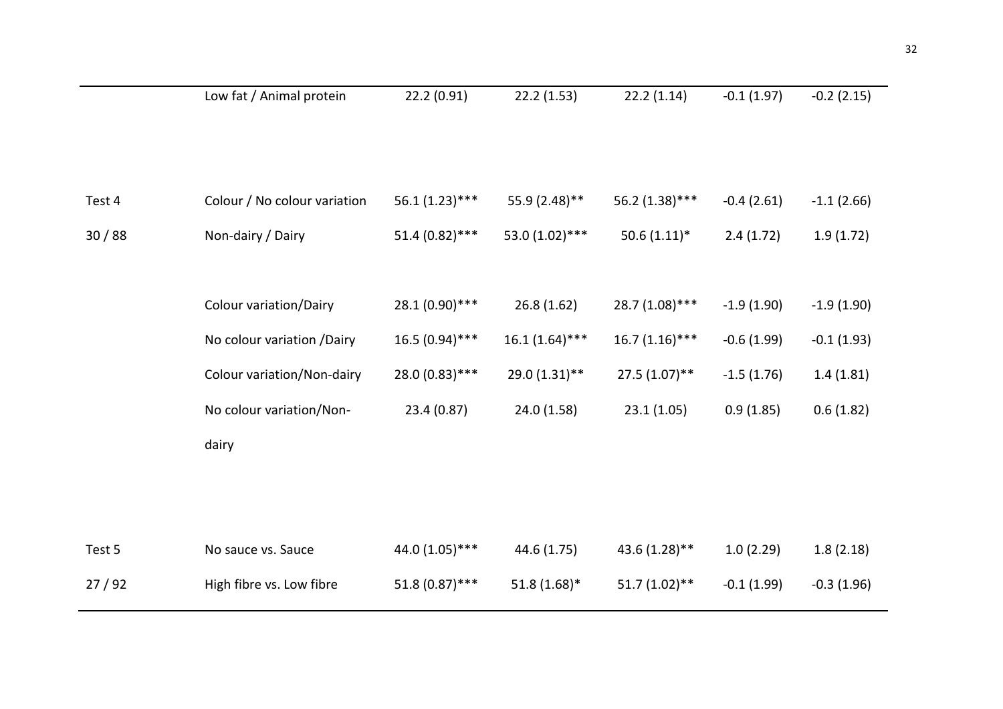|        | Low fat / Animal protein      | 22.2 (0.91)      | 22.2(1.53)       | 22.2(1.14)       | $-0.1(1.97)$ | $-0.2(2.15)$ |
|--------|-------------------------------|------------------|------------------|------------------|--------------|--------------|
|        |                               |                  |                  |                  |              |              |
|        |                               |                  |                  |                  |              |              |
|        |                               |                  |                  |                  |              |              |
| Test 4 | Colour / No colour variation  | $56.1(1.23)$ *** | 55.9 (2.48)**    | 56.2 (1.38)***   | $-0.4(2.61)$ | $-1.1(2.66)$ |
| 30/88  | Non-dairy / Dairy             | $51.4(0.82)$ *** | 53.0 (1.02) ***  | $50.6(1.11)*$    | 2.4(1.72)    | 1.9(1.72)    |
|        |                               |                  |                  |                  |              |              |
|        |                               |                  |                  |                  |              |              |
|        | <b>Colour variation/Dairy</b> | 28.1 (0.90) ***  | 26.8(1.62)       | 28.7 (1.08)***   | $-1.9(1.90)$ | $-1.9(1.90)$ |
|        | No colour variation /Dairy    | $16.5(0.94)$ *** | $16.1(1.64)$ *** | $16.7(1.16)$ *** | $-0.6(1.99)$ | $-0.1(1.93)$ |
|        |                               |                  |                  |                  |              |              |
|        | Colour variation/Non-dairy    | 28.0 (0.83) ***  | 29.0 (1.31)**    | $27.5(1.07)$ **  | $-1.5(1.76)$ | 1.4(1.81)    |
|        | No colour variation/Non-      | 23.4 (0.87)      | 24.0 (1.58)      | 23.1(1.05)       | 0.9(1.85)    | 0.6(1.82)    |
|        | dairy                         |                  |                  |                  |              |              |
|        |                               |                  |                  |                  |              |              |
|        |                               |                  |                  |                  |              |              |
|        |                               |                  |                  |                  |              |              |
| Test 5 | No sauce vs. Sauce            | 44.0 (1.05) ***  | 44.6 (1.75)      | 43.6 (1.28)**    | 1.0(2.29)    | 1.8(2.18)    |
| 27/92  | High fibre vs. Low fibre      | $51.8(0.87)$ *** | $51.8(1.68)$ *   | $51.7(1.02)$ **  | $-0.1(1.99)$ | $-0.3(1.96)$ |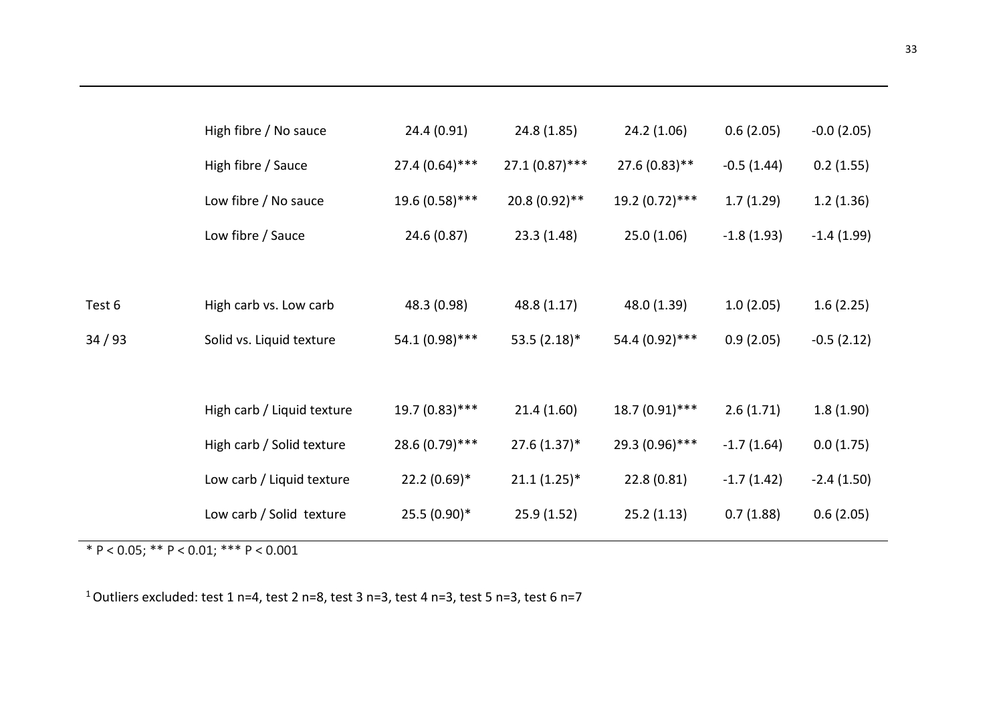|        | High fibre / No sauce      | 24.4 (0.91)      | 24.8 (1.85)      | 24.2 (1.06)     | 0.6(2.05)    | $-0.0(2.05)$ |
|--------|----------------------------|------------------|------------------|-----------------|--------------|--------------|
|        | High fibre / Sauce         | $27.4(0.64)$ *** | $27.1(0.87)$ *** | 27.6 (0.83)**   | $-0.5(1.44)$ | 0.2(1.55)    |
|        | Low fibre / No sauce       | 19.6 (0.58)***   | $20.8(0.92)$ **  | 19.2 (0.72)***  | 1.7(1.29)    | 1.2(1.36)    |
|        | Low fibre / Sauce          | 24.6 (0.87)      | 23.3(1.48)       | 25.0(1.06)      | $-1.8(1.93)$ | $-1.4(1.99)$ |
|        |                            |                  |                  |                 |              |              |
| Test 6 | High carb vs. Low carb     | 48.3 (0.98)      | 48.8 (1.17)      | 48.0 (1.39)     | 1.0(2.05)    | 1.6(2.25)    |
| 34/93  | Solid vs. Liquid texture   | 54.1 (0.98)***   | $53.5(2.18)$ *   | 54.4 (0.92) *** | 0.9(2.05)    | $-0.5(2.12)$ |
|        |                            |                  |                  |                 |              |              |
|        | High carb / Liquid texture | 19.7 (0.83)***   | 21.4(1.60)       | 18.7 (0.91)***  | 2.6(1.71)    | 1.8(1.90)    |
|        | High carb / Solid texture  | 28.6 (0.79) ***  | $27.6(1.37)^*$   | 29.3 (0.96) *** | $-1.7(1.64)$ | 0.0(1.75)    |
|        | Low carb / Liquid texture  | $22.2(0.69)*$    | $21.1(1.25)$ *   | 22.8(0.81)      | $-1.7(1.42)$ | $-2.4(1.50)$ |
|        | Low carb / Solid texture   | $25.5(0.90)$ *   | 25.9(1.52)       | 25.2(1.13)      | 0.7(1.88)    | 0.6(2.05)    |
|        |                            |                  |                  |                 |              |              |

\*  $P < 0.05$ ; \*\*  $P < 0.01$ ; \*\*\*  $P < 0.001$ 

 $1$  Outliers excluded: test 1 n=4, test 2 n=8, test 3 n=3, test 4 n=3, test 5 n=3, test 6 n=7